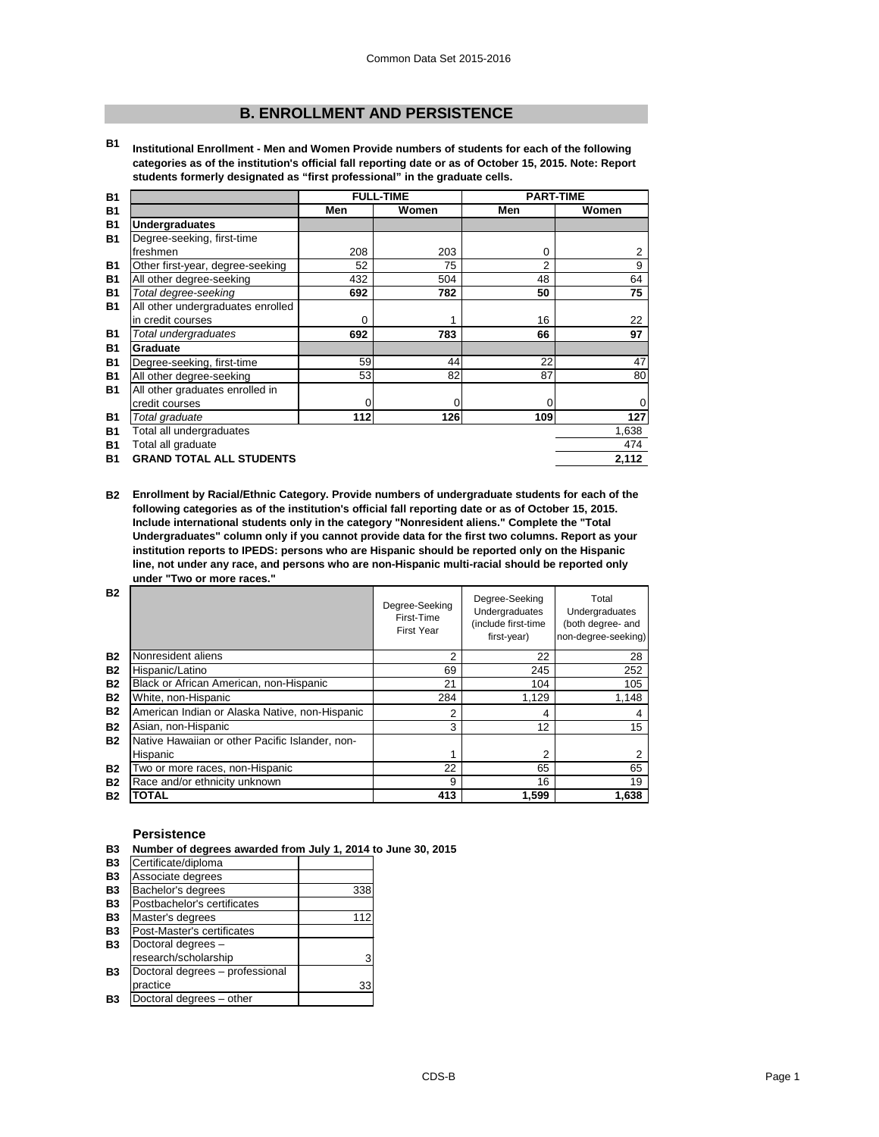# **B. ENROLLMENT AND PERSISTENCE**

**B1 Institutional Enrollment - Men and Women Provide numbers of students for each of the following categories as of the institution's official fall reporting date or as of October 15, 2015. Note: Report students formerly designated as "first professional" in the graduate cells.**

| <b>B1</b> |                                   |             | <b>FULL-TIME</b> | <b>PART-TIME</b> |           |
|-----------|-----------------------------------|-------------|------------------|------------------|-----------|
| <b>B1</b> |                                   | Men         | Women            | Men              | Women     |
| <b>B1</b> | <b>Undergraduates</b>             |             |                  |                  |           |
| <b>B1</b> | Degree-seeking, first-time        |             |                  |                  |           |
|           | freshmen                          | 208         | 203              | 0                | 2         |
| <b>B1</b> | Other first-year, degree-seeking  | 52          | 75               | 2                | 9         |
| <b>B1</b> | All other degree-seeking          | 432         | 504              | 48               | 64        |
| <b>B1</b> | Total degree-seeking              | 692         | 782              | 50               | 75        |
| <b>B1</b> | All other undergraduates enrolled |             |                  |                  |           |
|           | in credit courses                 | 0           |                  | 16               | 22        |
| <b>B1</b> | Total undergraduates              | 692         | 783              | 66               | 97        |
| <b>B1</b> | <b>Graduate</b>                   |             |                  |                  |           |
| <b>B1</b> | Degree-seeking, first-time        | 59          | 44               | 22               | 47        |
| <b>B1</b> | All other degree-seeking          | 53          | 82               | 87               | 80        |
| <b>B1</b> | All other graduates enrolled in   |             |                  |                  |           |
|           | credit courses                    | $\mathbf 0$ | 0                | 0                | $\pmb{0}$ |
| <b>B1</b> | Total graduate                    | 112         | 126              | 109              | 127       |
| <b>B1</b> | Total all undergraduates          |             |                  |                  | 1,638     |
| <b>B1</b> | Total all graduate                |             |                  |                  | 474       |
| <b>B1</b> | <b>GRAND TOTAL ALL STUDENTS</b>   |             |                  |                  | 2,112     |

**B2 Enrollment by Racial/Ethnic Category. Provide numbers of undergraduate students for each of the following categories as of the institution's official fall reporting date or as of October 15, 2015. Include international students only in the category "Nonresident aliens." Complete the "Total Undergraduates" column only if you cannot provide data for the first two columns. Report as your institution reports to IPEDS: persons who are Hispanic should be reported only on the Hispanic line, not under any race, and persons who are non-Hispanic multi-racial should be reported only under "Two or more races."** 

| <b>B2</b> |                                                 | Degree-Seeking<br>First-Time<br><b>First Year</b> | Degree-Seeking<br>Undergraduates<br>(include first-time<br>first-year) | Total<br>Undergraduates<br>(both degree- and<br>non-degree-seeking) |
|-----------|-------------------------------------------------|---------------------------------------------------|------------------------------------------------------------------------|---------------------------------------------------------------------|
| <b>B2</b> | Nonresident aliens                              | 2                                                 | 22                                                                     | 28                                                                  |
| <b>B2</b> | Hispanic/Latino                                 | 69                                                | 245                                                                    | 252                                                                 |
| <b>B2</b> | Black or African American, non-Hispanic         | 21                                                | 104                                                                    | 105                                                                 |
| <b>B2</b> | White, non-Hispanic                             | 284                                               | 1,129                                                                  | 1,148                                                               |
| <b>B2</b> | American Indian or Alaska Native, non-Hispanic  | 2                                                 | 4                                                                      |                                                                     |
| <b>B2</b> | Asian, non-Hispanic                             | 3                                                 | 12                                                                     | 15                                                                  |
| <b>B2</b> | Native Hawaiian or other Pacific Islander, non- |                                                   |                                                                        |                                                                     |
|           | Hispanic                                        |                                                   | 2                                                                      |                                                                     |
| <b>B2</b> | Two or more races, non-Hispanic                 | 22                                                | 65                                                                     | 65                                                                  |
| <b>B2</b> | Race and/or ethnicity unknown                   | 9                                                 | 16                                                                     | 19                                                                  |
| <b>B2</b> | <b>TOTAL</b>                                    | 413                                               | 1,599                                                                  | 1,638                                                               |

#### **Persistence**

| <b>B3</b>      | Number of degrees awarded from July 1, 2014 to June 30, 2015 |     |  |
|----------------|--------------------------------------------------------------|-----|--|
| <b>B3</b>      | Certificate/diploma                                          |     |  |
| <b>B3</b>      | Associate degrees                                            |     |  |
| <b>B3</b>      | Bachelor's degrees                                           | 338 |  |
| <b>B3</b>      | Postbachelor's certificates                                  |     |  |
| <b>B3</b>      | Master's degrees                                             | 112 |  |
| <b>B3</b>      | Post-Master's certificates                                   |     |  |
| <b>B3</b>      | Doctoral degrees -                                           |     |  |
|                | research/scholarship                                         | 3   |  |
| <b>B3</b>      | Doctoral degrees - professional                              |     |  |
|                | practice                                                     | 33  |  |
| B <sub>3</sub> | Doctoral degrees - other                                     |     |  |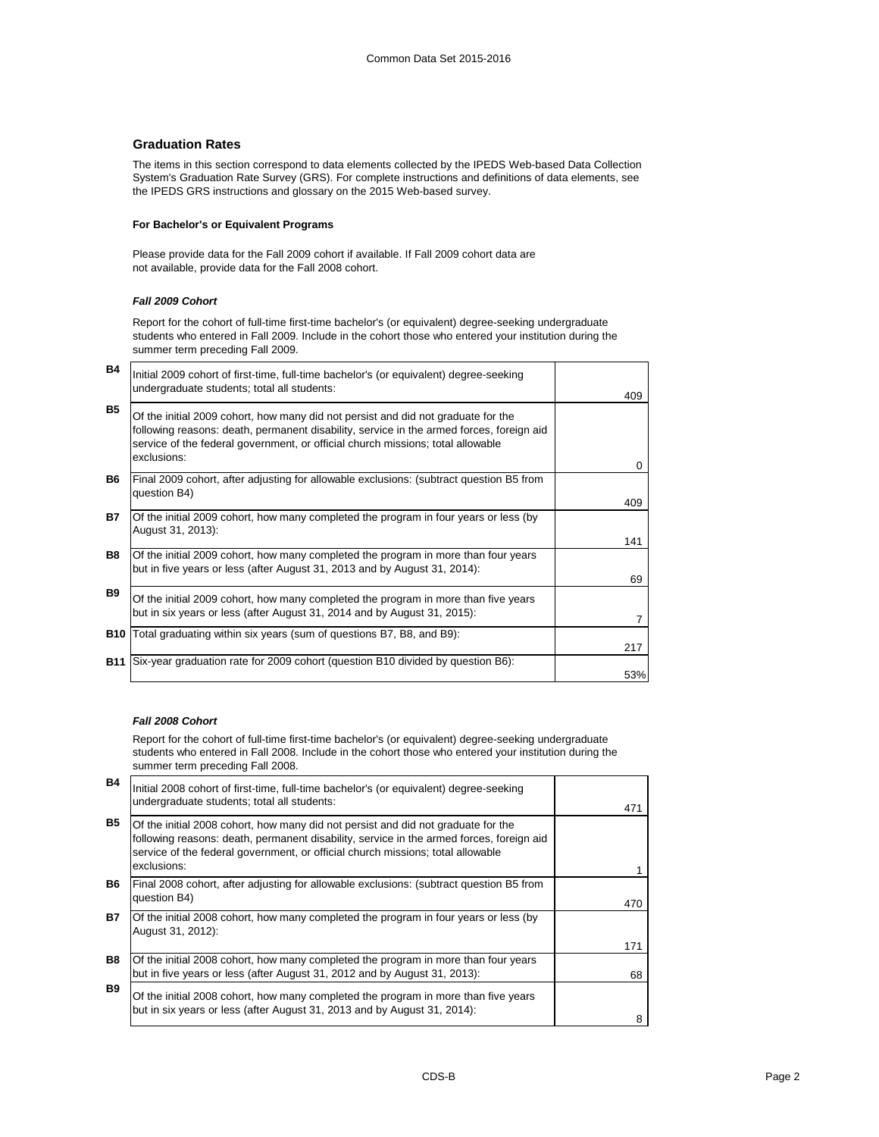# **Graduation Rates**

The items in this section correspond to data elements collected by the IPEDS Web-based Data Collection System's Graduation Rate Survey (GRS). For complete instructions and definitions of data elements, see the IPEDS GRS instructions and glossary on the 2015 Web-based survey.

#### **For Bachelor's or Equivalent Programs**

Please provide data for the Fall 2009 cohort if available. If Fall 2009 cohort data are not available, provide data for the Fall 2008 cohort.

# *Fall 2009 Cohort*

Report for the cohort of full-time first-time bachelor's (or equivalent) degree-seeking undergraduate students who entered in Fall 2009. Include in the cohort those who entered your institution during the summer term preceding Fall 2009.

| <b>B4</b>  | Initial 2009 cohort of first-time, full-time bachelor's (or equivalent) degree-seeking<br>undergraduate students; total all students:                                                                                                                                           | 409 |
|------------|---------------------------------------------------------------------------------------------------------------------------------------------------------------------------------------------------------------------------------------------------------------------------------|-----|
| <b>B5</b>  | Of the initial 2009 cohort, how many did not persist and did not graduate for the<br>following reasons: death, permanent disability, service in the armed forces, foreign aid<br>service of the federal government, or official church missions; total allowable<br>exclusions: | 0   |
| B6         | Final 2009 cohort, after adjusting for allowable exclusions: (subtract question B5 from<br>question B4)                                                                                                                                                                         | 409 |
| <b>B7</b>  | Of the initial 2009 cohort, how many completed the program in four years or less (by<br>August 31, 2013):                                                                                                                                                                       | 141 |
| B8         | Of the initial 2009 cohort, how many completed the program in more than four years<br>but in five years or less (after August 31, 2013 and by August 31, 2014):                                                                                                                 | 69  |
| <b>B9</b>  | Of the initial 2009 cohort, how many completed the program in more than five years<br>but in six years or less (after August 31, 2014 and by August 31, 2015):                                                                                                                  |     |
|            | <b>B10</b> Total graduating within six years (sum of questions B7, B8, and B9):                                                                                                                                                                                                 | 217 |
| <b>B11</b> | Six-year graduation rate for 2009 cohort (question B10 divided by question B6):                                                                                                                                                                                                 | 53% |

# *Fall 2008 Cohort*

Report for the cohort of full-time first-time bachelor's (or equivalent) degree-seeking undergraduate students who entered in Fall 2008. Include in the cohort those who entered your institution during the summer term preceding Fall 2008.

| <b>B4</b> | Initial 2008 cohort of first-time, full-time bachelor's (or equivalent) degree-seeking<br>undergraduate students; total all students:                                                                                                                                           |     |
|-----------|---------------------------------------------------------------------------------------------------------------------------------------------------------------------------------------------------------------------------------------------------------------------------------|-----|
| <b>B5</b> | Of the initial 2008 cohort, how many did not persist and did not graduate for the<br>following reasons: death, permanent disability, service in the armed forces, foreign aid<br>service of the federal government, or official church missions; total allowable<br>exclusions: | 471 |
| B6.       | Final 2008 cohort, after adjusting for allowable exclusions: (subtract question B5 from<br>question B4)                                                                                                                                                                         | 470 |
| <b>B7</b> | Of the initial 2008 cohort, how many completed the program in four years or less (by<br>August 31, 2012):                                                                                                                                                                       | 171 |
| B8        | Of the initial 2008 cohort, how many completed the program in more than four years<br>but in five years or less (after August 31, 2012 and by August 31, 2013):                                                                                                                 | 68  |
| <b>B9</b> | Of the initial 2008 cohort, how many completed the program in more than five years<br>but in six years or less (after August 31, 2013 and by August 31, 2014):                                                                                                                  | 8   |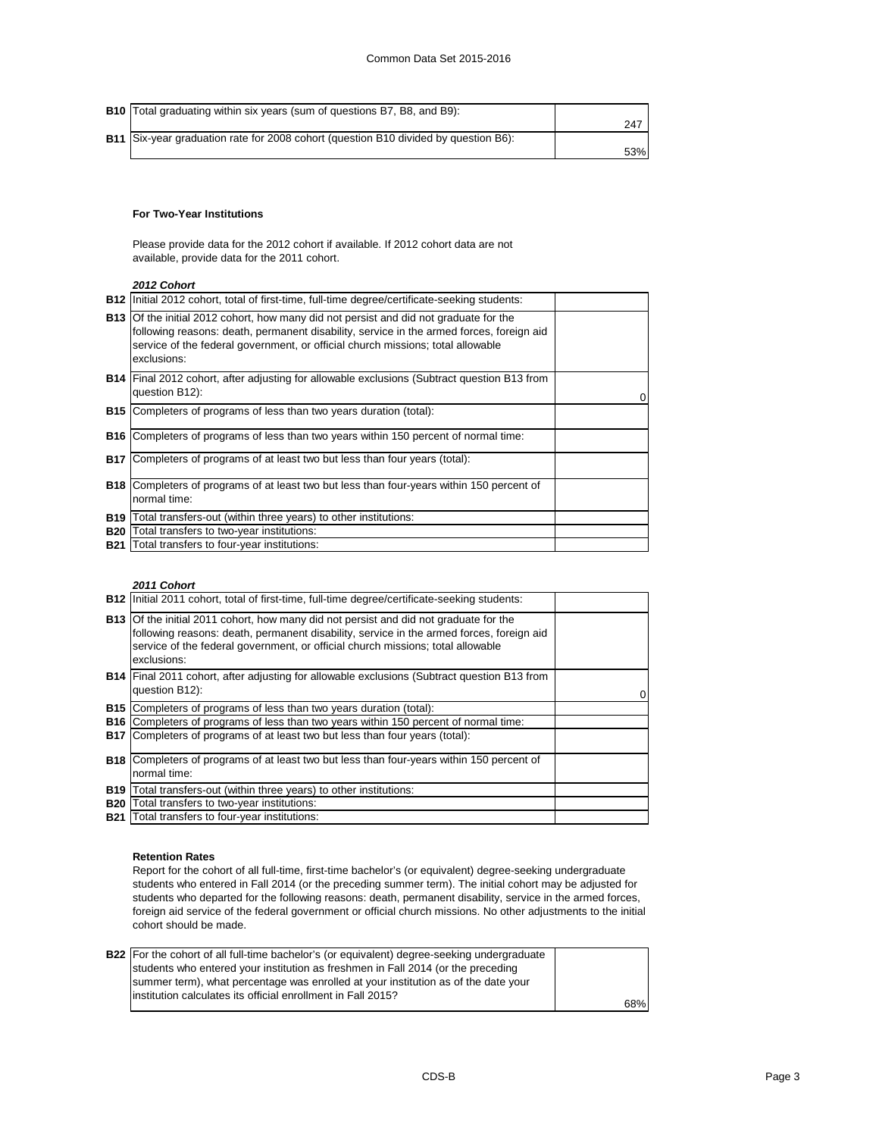| <b>B10</b> Total graduating within six years (sum of questions B7, B8, and B9):            |     |
|--------------------------------------------------------------------------------------------|-----|
|                                                                                            | 247 |
| <b>B11</b> Six-year graduation rate for 2008 cohort (question B10 divided by question B6): |     |
|                                                                                            | 53% |

#### **For Two-Year Institutions**

Please provide data for the 2012 cohort if available. If 2012 cohort data are not available, provide data for the 2011 cohort.

*2012 Cohort*

|            | <b>B12</b> Initial 2012 cohort, total of first-time, full-time degree/certificate-seeking students:                                                                                                                                                                                        |  |
|------------|--------------------------------------------------------------------------------------------------------------------------------------------------------------------------------------------------------------------------------------------------------------------------------------------|--|
|            | <b>B13</b> Of the initial 2012 cohort, how many did not persist and did not graduate for the<br>following reasons: death, permanent disability, service in the armed forces, foreign aid<br>service of the federal government, or official church missions; total allowable<br>exclusions: |  |
|            | <b>B14</b> Final 2012 cohort, after adjusting for allowable exclusions (Subtract question B13 from<br>question B12):                                                                                                                                                                       |  |
|            | B15 Completers of programs of less than two years duration (total):                                                                                                                                                                                                                        |  |
|            | <b>B16</b> Completers of programs of less than two years within 150 percent of normal time:                                                                                                                                                                                                |  |
| <b>B17</b> | Completers of programs of at least two but less than four years (total):                                                                                                                                                                                                                   |  |
|            | <b>B18</b> Completers of programs of at least two but less than four-years within 150 percent of<br>normal time:                                                                                                                                                                           |  |
| <b>B19</b> | Total transfers-out (within three years) to other institutions:                                                                                                                                                                                                                            |  |
| <b>B20</b> | Total transfers to two-year institutions:                                                                                                                                                                                                                                                  |  |
|            | <b>B21</b> Total transfers to four-year institutions:                                                                                                                                                                                                                                      |  |

#### *2011 Cohort*

|            | B12   Initial 2011 cohort, total of first-time, full-time degree/certificate-seeking students:                                                                                                                                                                                             |  |
|------------|--------------------------------------------------------------------------------------------------------------------------------------------------------------------------------------------------------------------------------------------------------------------------------------------|--|
|            | <b>B13</b> Of the initial 2011 cohort, how many did not persist and did not graduate for the<br>following reasons: death, permanent disability, service in the armed forces, foreign aid<br>service of the federal government, or official church missions; total allowable<br>exclusions: |  |
|            | <b>B14</b> Final 2011 cohort, after adjusting for allowable exclusions (Subtract question B13 from<br>question B12):                                                                                                                                                                       |  |
|            | <b>B15</b> Completers of programs of less than two years duration (total):                                                                                                                                                                                                                 |  |
|            | <b>B16</b> Completers of programs of less than two years within 150 percent of normal time:                                                                                                                                                                                                |  |
|            | <b>B17</b> Completers of programs of at least two but less than four years (total):                                                                                                                                                                                                        |  |
|            | <b>B18</b> Completers of programs of at least two but less than four-years within 150 percent of<br>normal time:                                                                                                                                                                           |  |
|            | B19   Total transfers-out (within three years) to other institutions:                                                                                                                                                                                                                      |  |
| <b>B20</b> | Total transfers to two-year institutions:                                                                                                                                                                                                                                                  |  |
|            | <b>B21</b> Total transfers to four-year institutions:                                                                                                                                                                                                                                      |  |

#### **Retention Rates**

Report for the cohort of all full-time, first-time bachelor's (or equivalent) degree-seeking undergraduate students who entered in Fall 2014 (or the preceding summer term). The initial cohort may be adjusted for students who departed for the following reasons: death, permanent disability, service in the armed forces, foreign aid service of the federal government or official church missions. No other adjustments to the initial cohort should be made.

| <b>B22</b> For the cohort of all full-time bachelor's (or equivalent) degree-seeking undergraduate |     |
|----------------------------------------------------------------------------------------------------|-----|
| students who entered your institution as freshmen in Fall 2014 (or the preceding                   |     |
| summer term), what percentage was enrolled at your institution as of the date your                 |     |
| linstitution calculates its official enrollment in Fall 2015?                                      |     |
|                                                                                                    | 68% |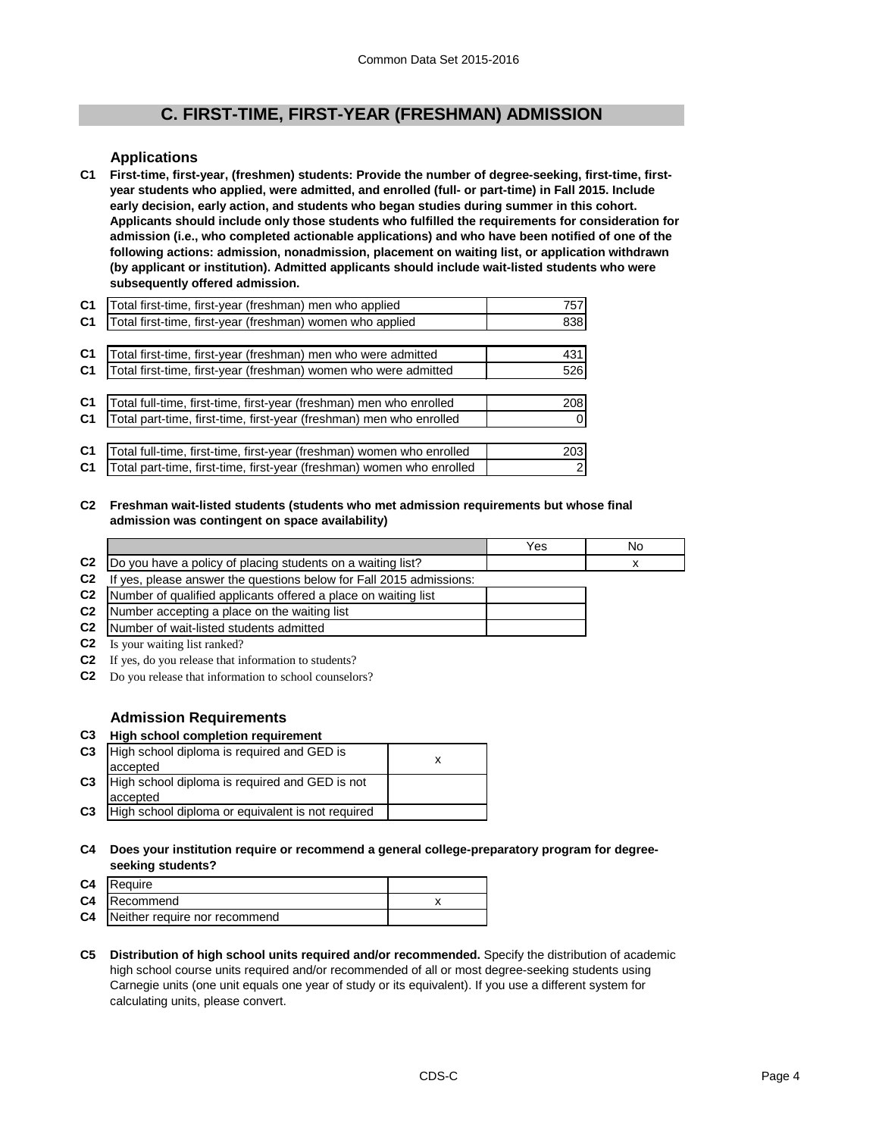# **C. FIRST-TIME, FIRST-YEAR (FRESHMAN) ADMISSION**

# **Applications**

**C1 First-time, first-year, (freshmen) students: Provide the number of degree-seeking, first-time, firstyear students who applied, were admitted, and enrolled (full- or part-time) in Fall 2015. Include early decision, early action, and students who began studies during summer in this cohort. Applicants should include only those students who fulfilled the requirements for consideration for admission (i.e., who completed actionable applications) and who have been notified of one of the following actions: admission, nonadmission, placement on waiting list, or application withdrawn (by applicant or institution). Admitted applicants should include wait-listed students who were subsequently offered admission.**

| C <sub>1</sub> | Total first-time, first-year (freshman) men who applied               | 757 |
|----------------|-----------------------------------------------------------------------|-----|
| C <sub>1</sub> | Total first-time, first-year (freshman) women who applied             | 838 |
|                |                                                                       |     |
| C <sub>1</sub> | Total first-time, first-year (freshman) men who were admitted         | 431 |
| C <sub>1</sub> | Total first-time, first-year (freshman) women who were admitted       | 526 |
|                |                                                                       |     |
| C <sub>1</sub> | Total full-time, first-time, first-year (freshman) men who enrolled   | 208 |
| C <sub>1</sub> | Total part-time, first-time, first-year (freshman) men who enrolled   |     |
|                |                                                                       |     |
| C <sub>1</sub> | Total full-time, first-time, first-year (freshman) women who enrolled | 203 |
| C <sub>1</sub> | Total part-time, first-time, first-year (freshman) women who enrolled | 2   |

#### **C2 Freshman wait-listed students (students who met admission requirements but whose final admission was contingent on space availability)**

|                |                                                                     | Yes | No |
|----------------|---------------------------------------------------------------------|-----|----|
| C <sub>2</sub> | Do you have a policy of placing students on a waiting list?         |     |    |
| C <sub>2</sub> | If yes, please answer the questions below for Fall 2015 admissions: |     |    |
| C <sub>2</sub> | Number of qualified applicants offered a place on waiting list      |     |    |
| C <sub>2</sub> | Number accepting a place on the waiting list                        |     |    |
| C <sub>2</sub> | Number of wait-listed students admitted                             |     |    |
| C <sub>2</sub> | Is your waiting list ranked?                                        |     |    |

**C2** If yes, do you release that information to students?

**C2** Do you release that information to school counselors?

# **Admission Requirements**

**C3**

accepted

| C3 High school completion requirement                    |  |  |
|----------------------------------------------------------|--|--|
| C3   High school diploma is required and GED is          |  |  |
| accepted                                                 |  |  |
| <b>C3</b> High school diploma is required and GED is not |  |  |

High school diploma or equivalent is not required

# **C4 Does your institution require or recommend a general college-preparatory program for degreeseeking students?**

| C4 Require                              |  |
|-----------------------------------------|--|
| C4 Recommend                            |  |
| <b>C4</b> Neither require nor recommend |  |

**C5 Distribution of high school units required and/or recommended.** Specify the distribution of academic high school course units required and/or recommended of all or most degree-seeking students using Carnegie units (one unit equals one year of study or its equivalent). If you use a different system for calculating units, please convert.

x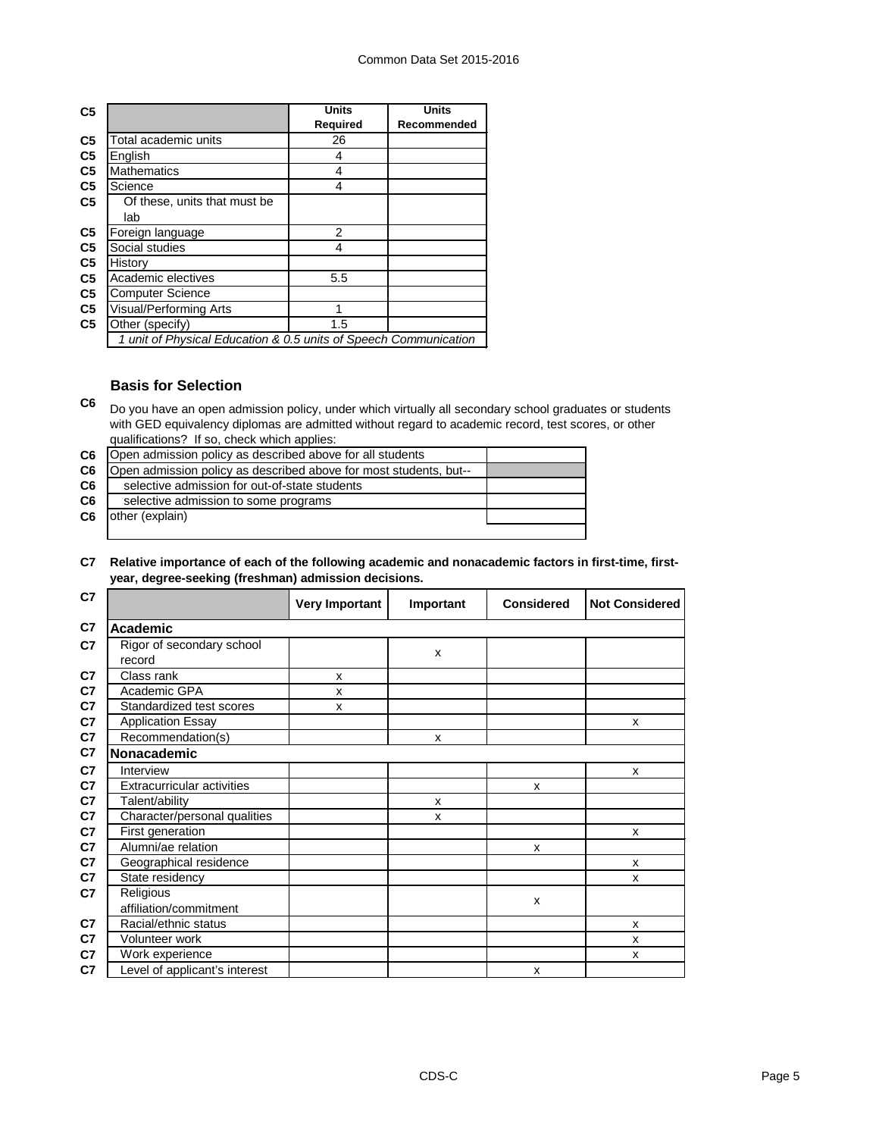| C <sub>5</sub> |                                                                  | <b>Units</b>    | <b>Units</b> |
|----------------|------------------------------------------------------------------|-----------------|--------------|
|                |                                                                  | <b>Required</b> | Recommended  |
| C <sub>5</sub> | Total academic units                                             | 26              |              |
| C <sub>5</sub> | English                                                          | 4               |              |
| C <sub>5</sub> | <b>Mathematics</b>                                               | 4               |              |
| C <sub>5</sub> | Science                                                          | 4               |              |
| C <sub>5</sub> | Of these, units that must be                                     |                 |              |
|                | lab                                                              |                 |              |
| C <sub>5</sub> | Foreign language                                                 | 2               |              |
| C <sub>5</sub> | Social studies                                                   | 4               |              |
| C <sub>5</sub> | History                                                          |                 |              |
| C <sub>5</sub> | Academic electives                                               | 5.5             |              |
| C <sub>5</sub> | <b>Computer Science</b>                                          |                 |              |
| C <sub>5</sub> | Visual/Performing Arts                                           |                 |              |
| C <sub>5</sub> | Other (specify)                                                  | 1.5             |              |
|                | 1 unit of Physical Education & 0.5 units of Speech Communication |                 |              |

# **Basis for Selection**

**C6** Do you have an open admission policy, under which virtually all secondary school graduates or students with GED equivalency diplomas are admitted without regard to academic record, test scores, or other qualifications? If so, check which applies:

| C6             | Open admission policy as described above for all students         |  |
|----------------|-------------------------------------------------------------------|--|
| C6             | Open admission policy as described above for most students, but-- |  |
| C6             | selective admission for out-of-state students                     |  |
| C <sub>6</sub> | selective admission to some programs                              |  |
| C6             | other (explain)                                                   |  |
|                |                                                                   |  |

#### **C7 Relative importance of each of the following academic and nonacademic factors in first-time, firstyear, degree-seeking (freshman) admission decisions.**

| C7             |                                     | <b>Very Important</b> | Important | <b>Considered</b> | <b>Not Considered</b> |
|----------------|-------------------------------------|-----------------------|-----------|-------------------|-----------------------|
| C7             | <b>Academic</b>                     |                       |           |                   |                       |
| C7             | Rigor of secondary school<br>record |                       | X         |                   |                       |
| C <sub>7</sub> | Class rank                          | X                     |           |                   |                       |
| C7             | Academic GPA                        | X                     |           |                   |                       |
| C7             | Standardized test scores            | X                     |           |                   |                       |
| C7             | <b>Application Essay</b>            |                       |           |                   | X                     |
| C7             | Recommendation(s)                   |                       | X         |                   |                       |
| C7             | Nonacademic                         |                       |           |                   |                       |
| C7             | Interview                           |                       |           |                   | $\mathsf{x}$          |
| C7             | <b>Extracurricular activities</b>   |                       |           | X                 |                       |
| C7             | Talent/ability                      |                       | X         |                   |                       |
| C7             | Character/personal qualities        |                       | X         |                   |                       |
| C7             | First generation                    |                       |           |                   | $\mathsf{x}$          |
| C7             | Alumni/ae relation                  |                       |           | X                 |                       |
| C7             | Geographical residence              |                       |           |                   | X                     |
| C7             | State residency                     |                       |           |                   | X                     |
| C7             | Religious                           |                       |           | X                 |                       |
|                | affiliation/commitment              |                       |           |                   |                       |
| C <sub>7</sub> | Racial/ethnic status                |                       |           |                   | X                     |
| C7             | Volunteer work                      |                       |           |                   | X                     |
| C7             | Work experience                     |                       |           |                   | X                     |
| C7             | Level of applicant's interest       |                       |           | X                 |                       |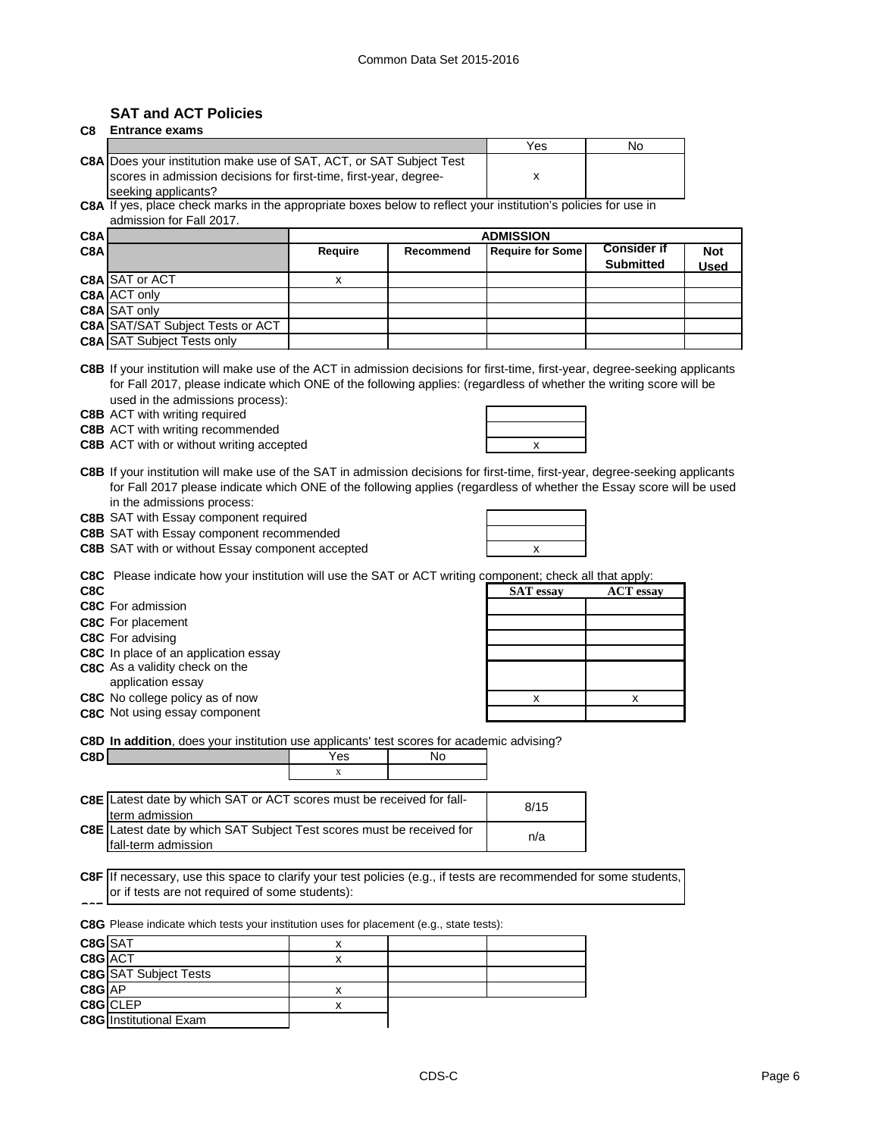# **SAT and ACT Policies**

**C8G** Institutional Exam

| C8      | <b>Entrance exams</b>                                                                                                                                                                                                                                                                                                                                                                                                   |                |           |                         |                    |             |
|---------|-------------------------------------------------------------------------------------------------------------------------------------------------------------------------------------------------------------------------------------------------------------------------------------------------------------------------------------------------------------------------------------------------------------------------|----------------|-----------|-------------------------|--------------------|-------------|
|         |                                                                                                                                                                                                                                                                                                                                                                                                                         |                |           | Yes                     | No                 |             |
|         | <b>C8A</b> Does your institution make use of SAT, ACT, or SAT Subject Test<br>scores in admission decisions for first-time, first-year, degree-                                                                                                                                                                                                                                                                         |                |           | X                       |                    |             |
|         | seeking applicants?                                                                                                                                                                                                                                                                                                                                                                                                     |                |           |                         |                    |             |
|         | C8A If yes, place check marks in the appropriate boxes below to reflect your institution's policies for use in<br>admission for Fall 2017.                                                                                                                                                                                                                                                                              |                |           |                         |                    |             |
| C8A     |                                                                                                                                                                                                                                                                                                                                                                                                                         |                |           | <b>ADMISSION</b>        |                    |             |
| C8A     |                                                                                                                                                                                                                                                                                                                                                                                                                         | <b>Require</b> | Recommend | <b>Require for Some</b> | <b>Consider if</b> | <b>Not</b>  |
|         |                                                                                                                                                                                                                                                                                                                                                                                                                         |                |           |                         | <b>Submitted</b>   | <b>Used</b> |
|         | C8A SAT or ACT                                                                                                                                                                                                                                                                                                                                                                                                          | X              |           |                         |                    |             |
|         | C8A ACT only                                                                                                                                                                                                                                                                                                                                                                                                            |                |           |                         |                    |             |
|         | C8A SAT only                                                                                                                                                                                                                                                                                                                                                                                                            |                |           |                         |                    |             |
|         | <b>C8A SAT/SAT Subject Tests or ACT</b><br><b>C8A SAT Subject Tests only</b>                                                                                                                                                                                                                                                                                                                                            |                |           |                         |                    |             |
|         |                                                                                                                                                                                                                                                                                                                                                                                                                         |                |           |                         |                    |             |
|         | C8B If your institution will make use of the ACT in admission decisions for first-time, first-year, degree-seeking applicants<br>for Fall 2017, please indicate which ONE of the following applies: (regardless of whether the writing score will be<br>used in the admissions process):<br><b>C8B</b> ACT with writing required<br><b>C8B</b> ACT with writing recommended<br>C8B ACT with or without writing accepted |                |           | x                       |                    |             |
|         | C8B If your institution will make use of the SAT in admission decisions for first-time, first-year, degree-seeking applicants<br>for Fall 2017 please indicate which ONE of the following applies (regardless of whether the Essay score will be used                                                                                                                                                                   |                |           |                         |                    |             |
|         | in the admissions process:<br>C8B SAT with Essay component required                                                                                                                                                                                                                                                                                                                                                     |                |           |                         |                    |             |
|         | C8B SAT with Essay component recommended                                                                                                                                                                                                                                                                                                                                                                                |                |           |                         |                    |             |
|         | C8B SAT with or without Essay component accepted                                                                                                                                                                                                                                                                                                                                                                        |                |           | x                       |                    |             |
|         |                                                                                                                                                                                                                                                                                                                                                                                                                         |                |           |                         |                    |             |
|         | <b>C8C</b> Please indicate how your institution will use the SAT or ACT writing component; check all that apply:                                                                                                                                                                                                                                                                                                        |                |           |                         |                    |             |
| C8C     |                                                                                                                                                                                                                                                                                                                                                                                                                         |                |           | <b>SAT</b> essay        | <b>ACT</b> essay   |             |
|         | <b>C8C</b> For admission                                                                                                                                                                                                                                                                                                                                                                                                |                |           |                         |                    |             |
|         | <b>C8C</b> For placement                                                                                                                                                                                                                                                                                                                                                                                                |                |           |                         |                    |             |
|         | C8C For advising                                                                                                                                                                                                                                                                                                                                                                                                        |                |           |                         |                    |             |
|         | C8C In place of an application essay<br>C8C As a validity check on the                                                                                                                                                                                                                                                                                                                                                  |                |           |                         |                    |             |
|         | application essay                                                                                                                                                                                                                                                                                                                                                                                                       |                |           |                         |                    |             |
|         | C8C No college policy as of now                                                                                                                                                                                                                                                                                                                                                                                         |                |           | х                       | х                  |             |
|         | C8C Not using essay component                                                                                                                                                                                                                                                                                                                                                                                           |                |           |                         |                    |             |
|         |                                                                                                                                                                                                                                                                                                                                                                                                                         |                |           |                         |                    |             |
|         | C8D In addition, does your institution use applicants' test scores for academic advising?                                                                                                                                                                                                                                                                                                                               |                |           |                         |                    |             |
| C8D     |                                                                                                                                                                                                                                                                                                                                                                                                                         | Yes            | No        |                         |                    |             |
|         |                                                                                                                                                                                                                                                                                                                                                                                                                         | X              |           |                         |                    |             |
|         | <b>C8E</b> Latest date by which SAT or ACT scores must be received for fall-<br>term admission                                                                                                                                                                                                                                                                                                                          |                |           | 8/15                    |                    |             |
|         | C8E Latest date by which SAT Subject Test scores must be received for                                                                                                                                                                                                                                                                                                                                                   |                |           |                         |                    |             |
|         | fall-term admission                                                                                                                                                                                                                                                                                                                                                                                                     |                |           | n/a                     |                    |             |
|         |                                                                                                                                                                                                                                                                                                                                                                                                                         |                |           |                         |                    |             |
|         | C8F If necessary, use this space to clarify your test policies (e.g., if tests are recommended for some students,<br>or if tests are not required of some students):                                                                                                                                                                                                                                                    |                |           |                         |                    |             |
|         | C8G Please indicate which tests your institution uses for placement (e.g., state tests):                                                                                                                                                                                                                                                                                                                                |                |           |                         |                    |             |
| C8G SAT |                                                                                                                                                                                                                                                                                                                                                                                                                         | X              |           |                         |                    |             |
| C8G ACT |                                                                                                                                                                                                                                                                                                                                                                                                                         | X              |           |                         |                    |             |
|         | <b>C8G</b> SAT Subject Tests                                                                                                                                                                                                                                                                                                                                                                                            |                |           |                         |                    |             |
| C8G AP  |                                                                                                                                                                                                                                                                                                                                                                                                                         | x              |           |                         |                    |             |
|         | C8G CLEP                                                                                                                                                                                                                                                                                                                                                                                                                | X              |           |                         |                    |             |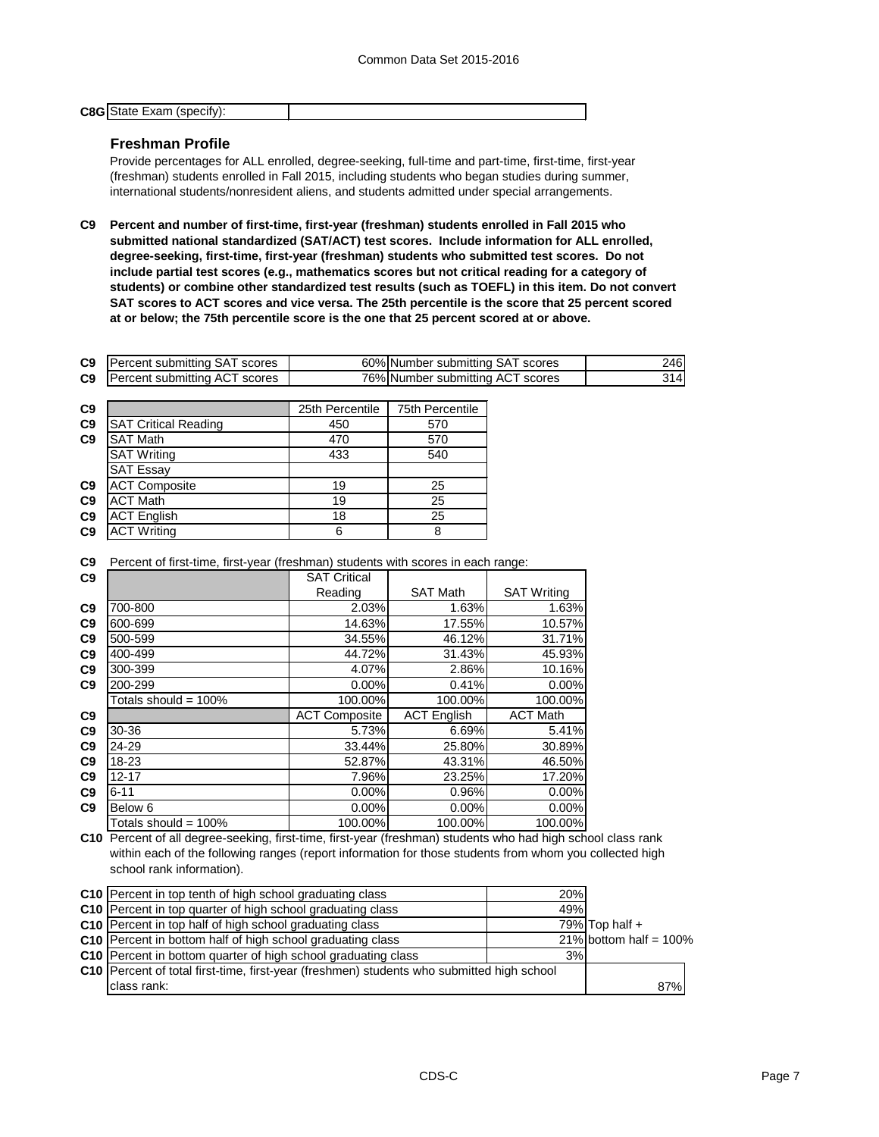| <b>C8G</b> State Exam (specify): |  |
|----------------------------------|--|
|                                  |  |

# **Freshman Profile**

Provide percentages for ALL enrolled, degree-seeking, full-time and part-time, first-time, first-year (freshman) students enrolled in Fall 2015, including students who began studies during summer, international students/nonresident aliens, and students admitted under special arrangements.

**C9 Percent and number of first-time, first-year (freshman) students enrolled in Fall 2015 who submitted national standardized (SAT/ACT) test scores. Include information for ALL enrolled, degree-seeking, first-time, first-year (freshman) students who submitted test scores. Do not include partial test scores (e.g., mathematics scores but not critical reading for a category of students) or combine other standardized test results (such as TOEFL) in this item. Do not convert**  SAT scores to ACT scores and vice versa. The 25th percentile is the score that 25 percent scored **at or below; the 75th percentile score is the one that 25 percent scored at or above.**

| C9             | <b>Percent submitting SAT scores</b> | 60% Number submitting SAT scores | 246 |
|----------------|--------------------------------------|----------------------------------|-----|
| C <sub>9</sub> | <b>Percent submitting ACT scores</b> | 76% Number submitting ACT scores | 314 |

| C9             |                             | 25th Percentile | 75th Percentile |  |  |
|----------------|-----------------------------|-----------------|-----------------|--|--|
| C <sub>9</sub> | <b>SAT Critical Reading</b> | 450             | 570             |  |  |
| C <sub>9</sub> | <b>SAT Math</b>             | 470             | 570             |  |  |
|                | <b>SAT Writing</b>          | 433             | 540             |  |  |
|                | <b>SAT Essay</b>            |                 |                 |  |  |
| C9             | <b>ACT Composite</b>        | 19              | 25              |  |  |
| C <sub>9</sub> | <b>ACT</b> Math             | 19              | 25              |  |  |
| C9             | <b>ACT English</b>          | 18              | 25              |  |  |
| C <sub>9</sub> | <b>ACT Writing</b>          | 6               | 8               |  |  |
|                |                             |                 |                 |  |  |

**C9** Percent of first-time, first-year (freshman) students with scores in each range:

| C9             |                         | <b>SAT Critical</b>  |                    |                    |
|----------------|-------------------------|----------------------|--------------------|--------------------|
|                |                         | Reading              | <b>SAT Math</b>    | <b>SAT Writing</b> |
| C9             | 700-800                 | 2.03%                | 1.63%              | 1.63%              |
| C9             | 600-699                 | 14.63%               | 17.55%             | 10.57%             |
| C9             | 500-599                 | 34.55%               | 46.12%             | 31.71%             |
| C9             | 400-499                 | 44.72%               | 31.43%             | 45.93%             |
| C9             | 300-399                 | 4.07%                | 2.86%              | 10.16%             |
| C9             | 200-299                 | 0.00%                | 0.41%              | 0.00%              |
|                | Totals should = $100\%$ | 100.00%              | 100.00%            | 100.00%            |
| C9             |                         | <b>ACT Composite</b> | <b>ACT English</b> | <b>ACT Math</b>    |
| C9             | 30-36                   | 5.73%                | 6.69%              | 5.41%              |
| C9             | 24-29                   | 33.44%               | 25.80%             | 30.89%             |
| C <sub>9</sub> | 18-23                   | 52.87%               | 43.31%             | 46.50%             |
| C9             | $12 - 17$               | 7.96%                | 23.25%             | 17.20%             |
| C <sub>9</sub> | $6 - 11$                | 0.00%                | 0.96%              | 0.00%              |
| C9             | Below 6                 | 0.00%                | $0.00\%$           | 0.00%              |
|                | Totals should = 100%    | 100.00%              | 100.00%            | 100.00%            |

**C10** Percent of all degree-seeking, first-time, first-year (freshman) students who had high school class rank within each of the following ranges (report information for those students from whom you collected high school rank information).

| C10 Percent in top tenth of high school graduating class                                  | 20% |                           |
|-------------------------------------------------------------------------------------------|-----|---------------------------|
| C10 Percent in top quarter of high school graduating class                                | 49% |                           |
| C10 Percent in top half of high school graduating class                                   |     | 79% Top half $+$          |
| C10 Percent in bottom half of high school graduating class                                |     | 21% bottom half = $100\%$ |
| C10 Percent in bottom quarter of high school graduating class                             | 3%  |                           |
| C10 Percent of total first-time, first-year (freshmen) students who submitted high school |     |                           |
| class rank:                                                                               |     | 87%                       |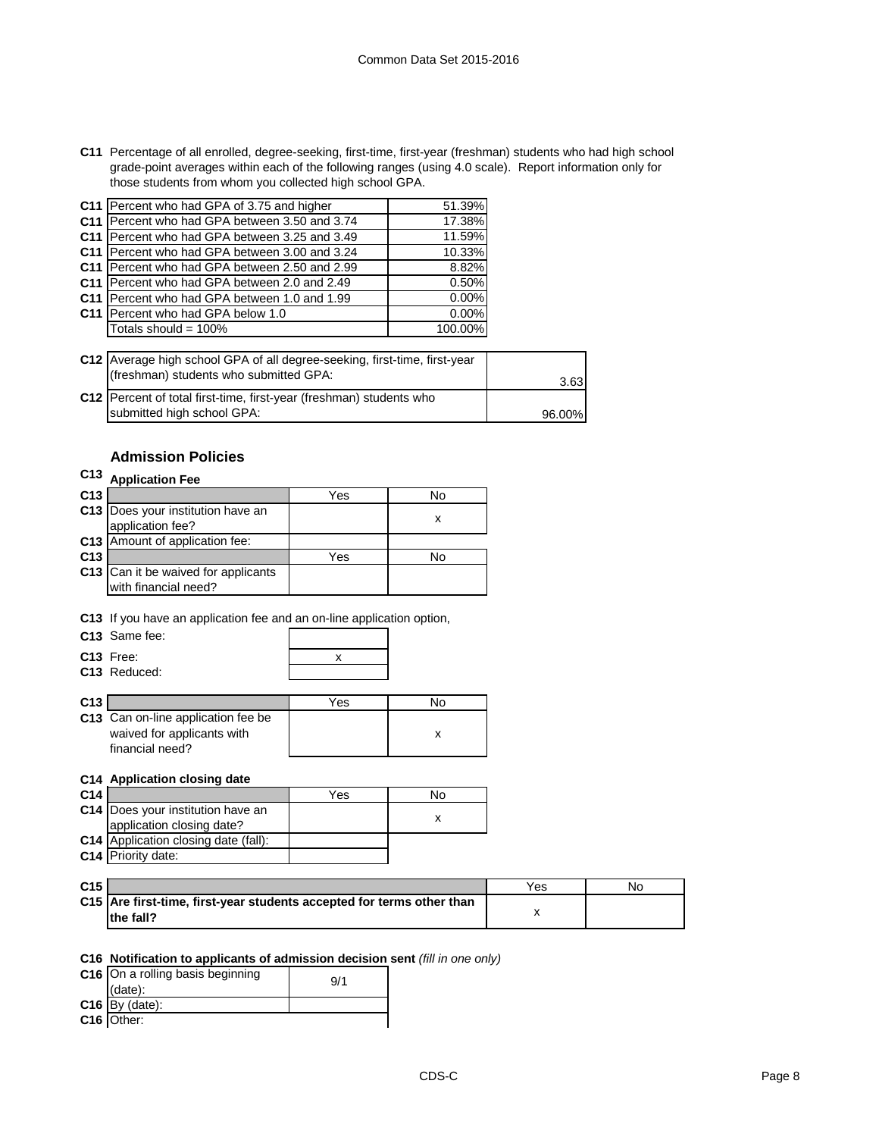**C11** Percentage of all enrolled, degree-seeking, first-time, first-year (freshman) students who had high school grade-point averages within each of the following ranges (using 4.0 scale). Report information only for those students from whom you collected high school GPA.

| C11 Percent who had GPA of 3.75 and higher    | 51.39%  |
|-----------------------------------------------|---------|
| C11 Percent who had GPA between 3.50 and 3.74 | 17.38%  |
| C11 Percent who had GPA between 3.25 and 3.49 | 11.59%  |
| C11 Percent who had GPA between 3.00 and 3.24 | 10.33%  |
| C11 Percent who had GPA between 2.50 and 2.99 | 8.82%   |
| C11 Percent who had GPA between 2.0 and 2.49  | 0.50%   |
| C11 Percent who had GPA between 1.0 and 1.99  | 0.00%   |
| C11 Percent who had GPA below 1.0             | 0.00%   |
| Totals should = 100%                          | 100.00% |
|                                               |         |

| C12 Average high school GPA of all degree-seeking, first-time, first-year<br>(freshman) students who submitted GPA: | 3.63   |
|---------------------------------------------------------------------------------------------------------------------|--------|
| C12   Percent of total first-time, first-year (freshman) students who                                               |        |
| submitted high school GPA:                                                                                          | 96.00% |

# **Admission Policies**

# **C13 Application Fee**

| C <sub>13</sub> |                                                             | Yes | No |
|-----------------|-------------------------------------------------------------|-----|----|
|                 | C13   Does your institution have an<br>application fee?     |     |    |
|                 | C13 Amount of application fee:                              |     |    |
| C <sub>13</sub> |                                                             | Yes | N٥ |
|                 | C13 Can it be waived for applicants<br>with financial need? |     |    |

**C13** If you have an application fee and an on-line application option,

| C <sub>13</sub> Same fee: |  |
|---------------------------|--|
| $C13$ Free:               |  |
| C13 Reduced:              |  |

| C <sub>13</sub> |                                    | Yes | N٥ |
|-----------------|------------------------------------|-----|----|
|                 | C13 Can on-line application fee be |     |    |
|                 | waived for applicants with         |     |    |
|                 | financial need?                    |     |    |

### **C14 Application closing date**

| C <sub>14</sub> |                                             | Yes | Nο |
|-----------------|---------------------------------------------|-----|----|
|                 | C14 Does your institution have an           |     |    |
|                 | application closing date?                   |     |    |
|                 | <b>C14</b> Application closing date (fall): |     |    |
|                 | C14 Priority date:                          |     |    |

| C <sub>15</sub> |                                                                       | Yes | Nο |
|-----------------|-----------------------------------------------------------------------|-----|----|
|                 | C15 Are first-time, first-year students accepted for terms other than |     |    |
|                 | the fall?                                                             |     |    |

#### **C16 Notification to applicants of admission decision sent** *(fill in one only)*

| C16 On a rolling basis beginning | 9/1 |
|----------------------------------|-----|
| (data):                          |     |
| $C16$ By (date):                 |     |
| C16 Other:                       |     |

**C16** Other: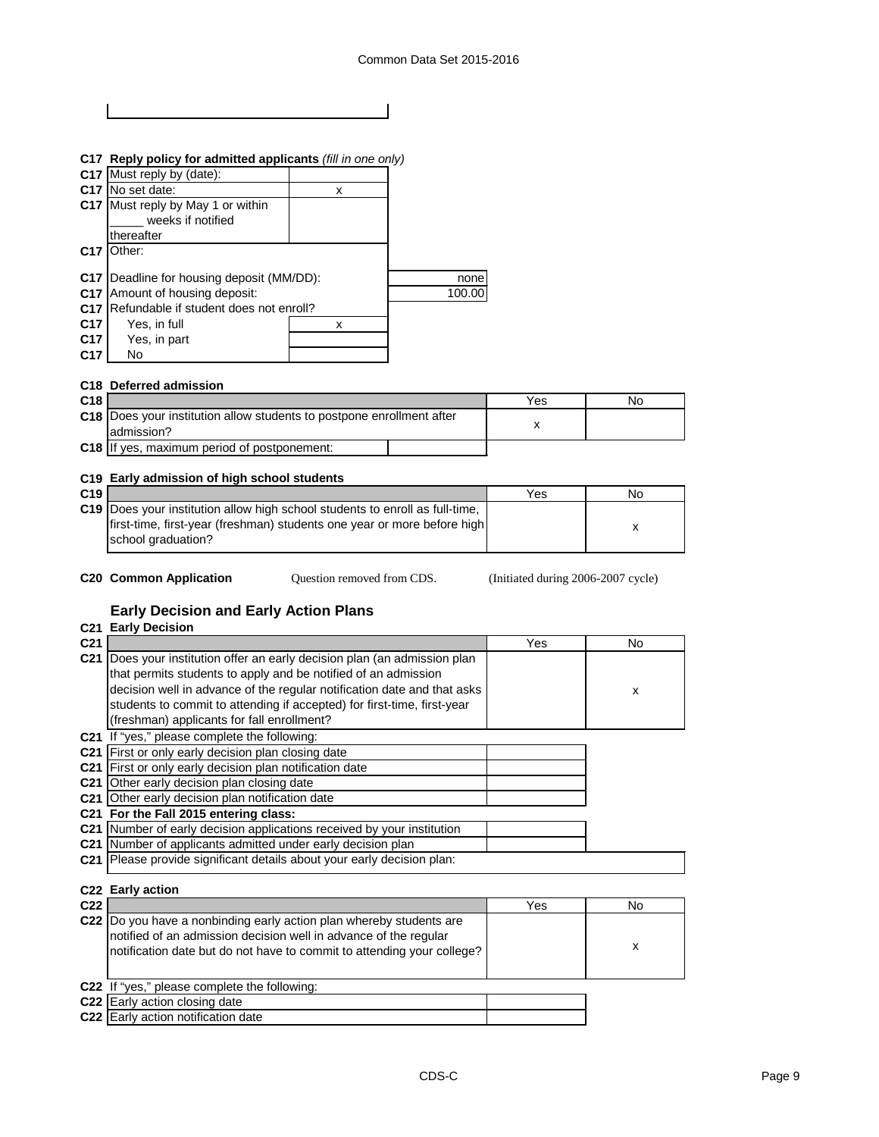|                 | C17 Reply policy for admitted applicants (fill in one only) |   |  |
|-----------------|-------------------------------------------------------------|---|--|
|                 | C17 Must reply by (date):                                   |   |  |
|                 | C17   No set date:                                          | x |  |
|                 | C17 Must reply by May 1 or within                           |   |  |
|                 | weeks if notified                                           |   |  |
|                 | thereafter                                                  |   |  |
| C <sub>17</sub> | ่ วther:                                                    |   |  |
|                 |                                                             |   |  |

|       | <b>C17</b> Deadline for housing deposit (MM/DD): |  | none   |
|-------|--------------------------------------------------|--|--------|
|       | <b>C17</b> Amount of housing deposit:            |  | 100.00 |
|       | C17 Refundable if student does not enroll?       |  |        |
| C17 I | Yes, in full                                     |  |        |

| - - - | .            |  |
|-------|--------------|--|
| C17   | Yes, in part |  |
| C17   | No.          |  |

# **C18 Deferred admission**

| C <sub>18</sub> |                                                                                        | Yes | No |
|-----------------|----------------------------------------------------------------------------------------|-----|----|
|                 | C18   Does your institution allow students to postpone enrollment after<br>ladmission? |     |    |
|                 | C18 If yes, maximum period of postponement:                                            |     |    |
|                 |                                                                                        |     |    |

# **C19 Early admission of high school students**

| C <sub>19</sub> |                                                                                | Yes | No |
|-----------------|--------------------------------------------------------------------------------|-----|----|
|                 | C19   Does your institution allow high school students to enroll as full-time, |     |    |
|                 | first-time, first-year (freshman) students one year or more before high        |     |    |
|                 | school graduation?                                                             |     |    |

Question removed from CDS.

**C20 Common Application** Question removed from CDS. (Initiated during 2006-2007 cycle)

# **Early Decision and Early Action Plans**

# **C21 Early Decision**

| C <sub>21</sub> |                                                                         | Yes | No |
|-----------------|-------------------------------------------------------------------------|-----|----|
| C <sub>21</sub> | Does your institution offer an early decision plan (an admission plan   |     |    |
|                 | that permits students to apply and be notified of an admission          |     |    |
|                 | decision well in advance of the regular notification date and that asks |     | x  |
|                 | students to commit to attending if accepted) for first-time, first-year |     |    |
|                 | (freshman) applicants for fall enrollment?                              |     |    |
| C <sub>21</sub> | If "yes," please complete the following:                                |     |    |
| C21             | First or only early decision plan closing date                          |     |    |
| C21             | First or only early decision plan notification date                     |     |    |
| C21             | Other early decision plan closing date                                  |     |    |
| C21             | Other early decision plan notification date                             |     |    |
| C21             | For the Fall 2015 entering class:                                       |     |    |
| C <sub>21</sub> | Number of early decision applications received by your institution      |     |    |
| C21             | Number of applicants admitted under early decision plan                 |     |    |
|                 | C21 Please provide significant details about your early decision plan:  |     |    |
|                 |                                                                         |     |    |
|                 | C22 Early action                                                        |     |    |
| C22             |                                                                         | Yes | No |

| <u>WZZ</u> |                                                                                                                                                                                                                    | 55 | IVU. |
|------------|--------------------------------------------------------------------------------------------------------------------------------------------------------------------------------------------------------------------|----|------|
|            | C22  Do you have a nonbinding early action plan whereby students are<br>notified of an admission decision well in advance of the regular<br>notification date but do not have to commit to attending your college? |    | х    |
|            | C22 If "yes," please complete the following:                                                                                                                                                                       |    |      |
|            | C22 Early action closing date                                                                                                                                                                                      |    |      |
|            | <b>C22</b> Early action notification date                                                                                                                                                                          |    |      |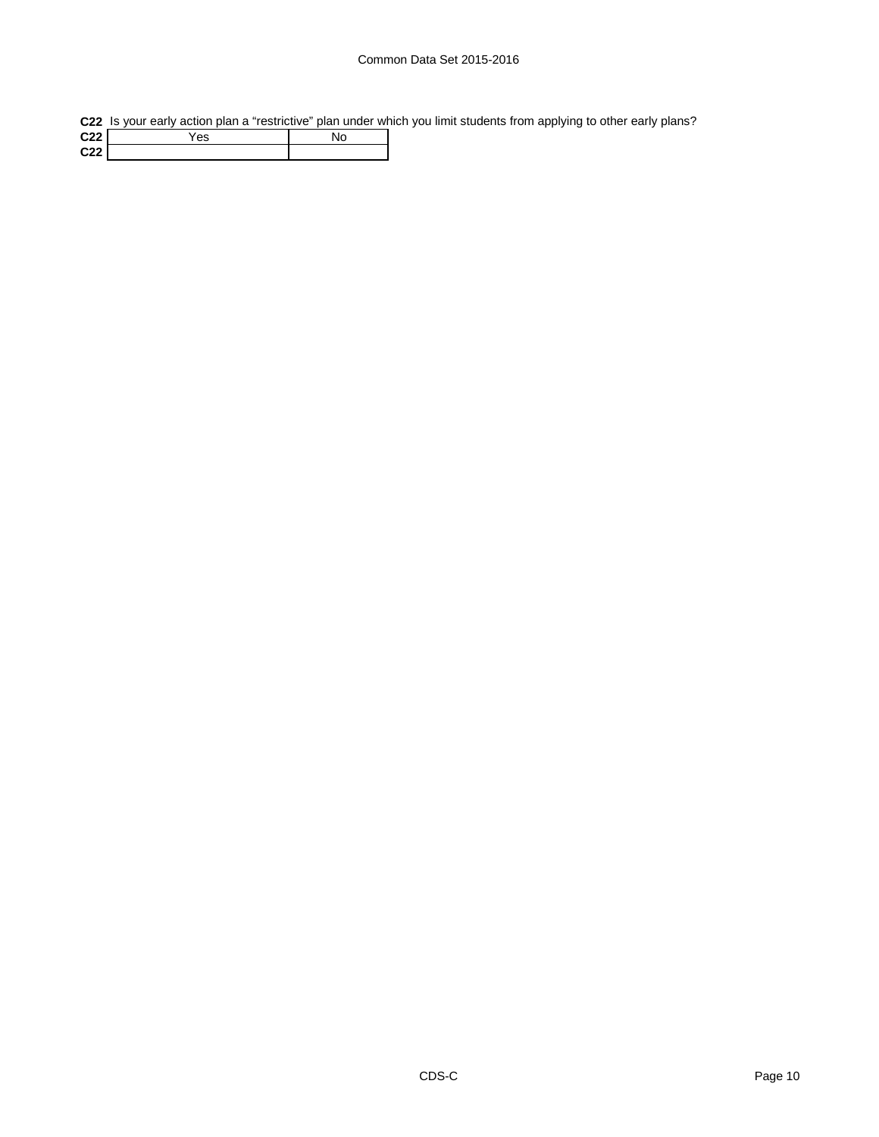# Common Data Set 2015-2016

**C22** Is your early action plan a "restrictive" plan under which you limit students from applying to other early plans?

| C <sub>22</sub> | es |  |
|-----------------|----|--|
| C22             |    |  |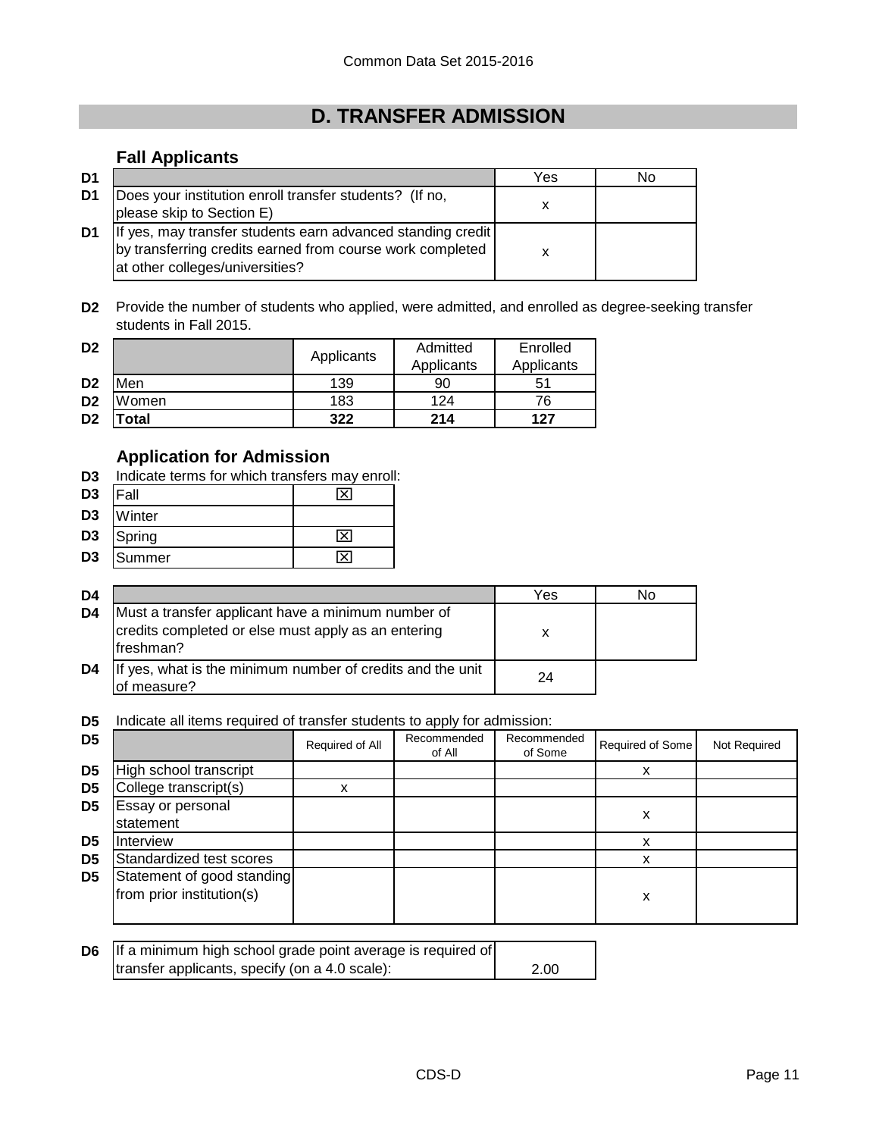# **D. TRANSFER ADMISSION**

# **Fall Applicants**

| D <sub>1</sub> |                                                                                                                                                             | Yes | No |
|----------------|-------------------------------------------------------------------------------------------------------------------------------------------------------------|-----|----|
| D1             | Does your institution enroll transfer students? (If no,<br>please skip to Section E)                                                                        |     |    |
| D1             | If yes, may transfer students earn advanced standing credit<br>by transferring credits earned from course work completed<br>at other colleges/universities? |     |    |

**D2** Provide the number of students who applied, were admitted, and enrolled as degree-seeking transfer students in Fall 2015.

| D <sub>2</sub> |       | Applicants | Admitted   | Enrolled   |
|----------------|-------|------------|------------|------------|
|                |       |            | Applicants | Applicants |
| D <sub>2</sub> | Men   | 139        | 90         | 51         |
| D <sub>2</sub> | Women | 183        | 124        | 76         |
| D <sub>2</sub> | 'otal | 322        | 214        | 127        |

# **Application for Admission**

**D3** Indicate terms for which transfers may enroll:

| $D3$  Fall |           | ιx |
|------------|-----------|----|
|            | D3 Winter |    |

- D3 Spring X
- **D3** Summer X

| D4 |                                                                                                                        | Yes | No |
|----|------------------------------------------------------------------------------------------------------------------------|-----|----|
| D4 | Must a transfer applicant have a minimum number of<br>credits completed or else must apply as an entering<br>freshman? | х   |    |
| D4 | If yes, what is the minimum number of credits and the unit<br>of measure?                                              | 24  |    |

**D5** Indicate all items required of transfer students to apply for admission:

| D <sub>5</sub> |                                                         | Required of All | Recommended<br>of All | Recommended<br>of Some | Required of Some | Not Required |
|----------------|---------------------------------------------------------|-----------------|-----------------------|------------------------|------------------|--------------|
| D <sub>5</sub> | High school transcript                                  |                 |                       |                        | x                |              |
| D <sub>5</sub> | College transcript(s)                                   | x               |                       |                        |                  |              |
| D <sub>5</sub> | Essay or personal<br>statement                          |                 |                       |                        | х                |              |
| D <sub>5</sub> | Interview                                               |                 |                       |                        |                  |              |
| D <sub>5</sub> | Standardized test scores                                |                 |                       |                        |                  |              |
| D <sub>5</sub> | Statement of good standing<br>from prior institution(s) |                 |                       |                        | x                |              |

| <b>D6</b> If a minimum high school grade point average is required of |      |
|-----------------------------------------------------------------------|------|
| transfer applicants, specify (on a 4.0 scale):                        | 2.00 |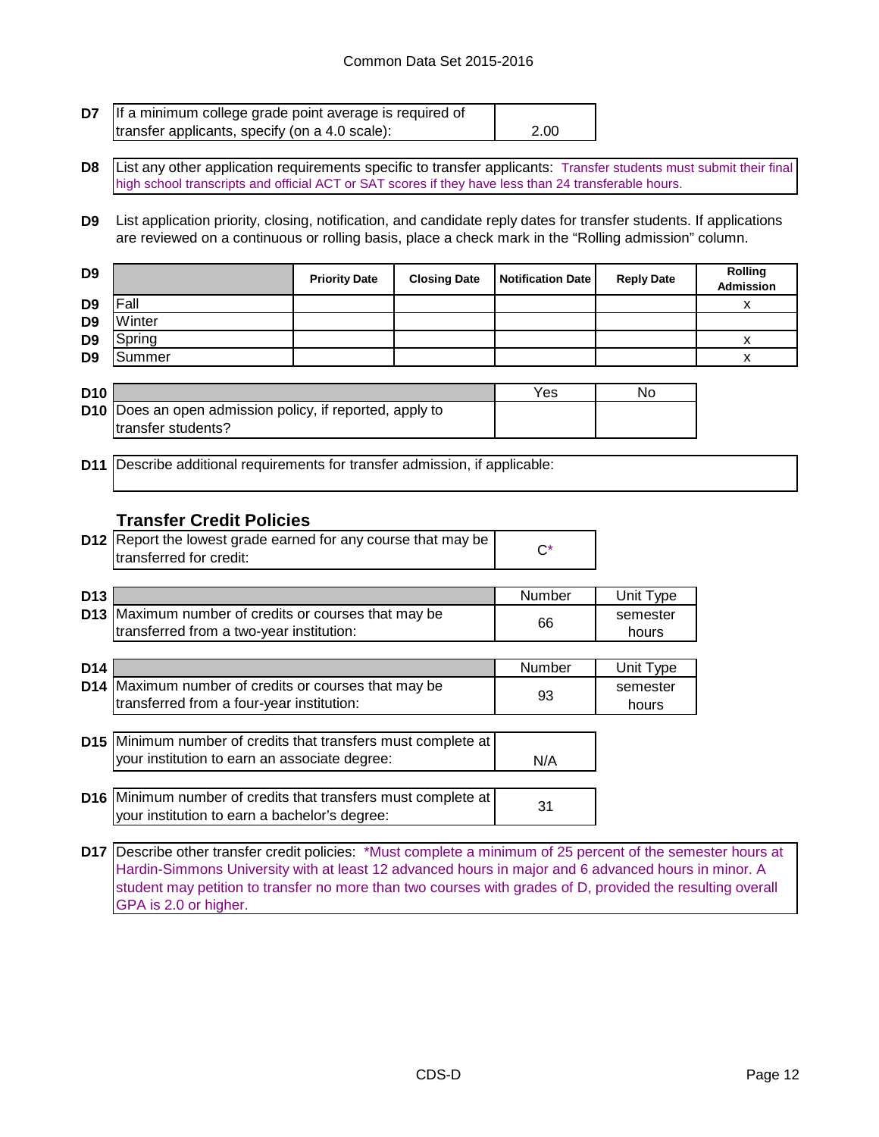#### Common Data Set 2015-2016

| <b>D7</b> If a minimum college grade point average is required of |      |
|-------------------------------------------------------------------|------|
| transfer applicants, specify (on a 4.0 scale):                    | 2.00 |

**D8** List any other application requirements specific to transfer applicants: Transfer students must submit their final high school transcripts and official ACT or SAT scores if they have less than 24 transferable hours.

**D9** List application priority, closing, notification, and candidate reply dates for transfer students. If applications are reviewed on a continuous or rolling basis, place a check mark in the "Rolling admission" column.

| D <sub>9</sub> |        | <b>Priority Date</b> | <b>Closing Date</b> | <b>Notification Date</b> | <b>Reply Date</b> | <b>Rolling</b><br>Admission |
|----------------|--------|----------------------|---------------------|--------------------------|-------------------|-----------------------------|
| D <sub>9</sub> | Fall   |                      |                     |                          |                   |                             |
| D <sub>9</sub> | Winter |                      |                     |                          |                   |                             |
| D <sub>9</sub> | Spring |                      |                     |                          |                   |                             |
| D <sub>9</sub> | Summer |                      |                     |                          |                   |                             |

| D <sub>10</sub> |                                                                 | Yes | No |
|-----------------|-----------------------------------------------------------------|-----|----|
|                 | <b>D10</b> Does an open admission policy, if reported, apply to |     |    |
|                 | Itransfer students?                                             |     |    |

**D11** Describe additional requirements for transfer admission, if applicable:

#### **Transfer Credit Policies**

| <b>D12</b> Report the lowest grade earned for any course that may be |  |
|----------------------------------------------------------------------|--|
| transferred for credit:                                              |  |

| D <sub>13</sub> |                                                             | Number | Unit Type |
|-----------------|-------------------------------------------------------------|--------|-----------|
|                 | <b>D13</b> Maximum number of credits or courses that may be |        | semester  |
|                 | Itransferred from a two-year institution:                   | 66     | hours     |

| D <sub>14</sub> |                                                                      | <b>Number</b> | Unit Type |
|-----------------|----------------------------------------------------------------------|---------------|-----------|
|                 | D14 Maximum number of credits or courses that may be                 |               | semester  |
|                 | transferred from a four-year institution:                            | 93            | hours     |
|                 |                                                                      |               |           |
|                 | <b>D15</b> Minimum number of credits that transfers must complete at |               |           |
|                 | your institution to earn an associate degree:                        | N/A           |           |
|                 |                                                                      |               |           |
|                 | D16 Minimum number of credits that transfers must complete at        |               |           |
|                 | your institution to earn a bachelor's degree:                        | 31            |           |

**D17** Describe other transfer credit policies: \*Must complete a minimum of 25 percent of the semester hours at Hardin-Simmons University with at least 12 advanced hours in major and 6 advanced hours in minor. A student may petition to transfer no more than two courses with grades of D, provided the resulting overall GPA is 2.0 or higher.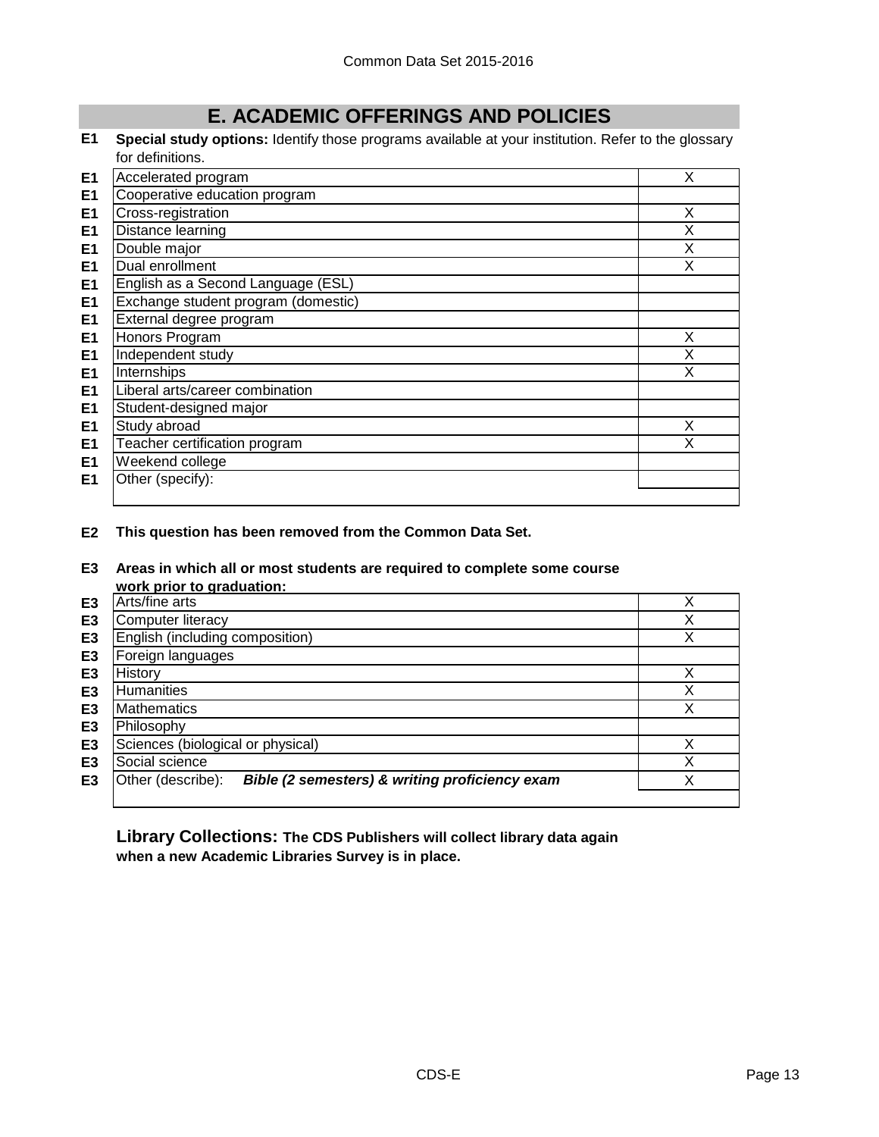# **E. ACADEMIC OFFERINGS AND POLICIES**

**E1 Special study options:** Identify those programs available at your institution. Refer to the glossary for definitions.

| E <sub>1</sub> | Accelerated program                 | X |
|----------------|-------------------------------------|---|
| E <sub>1</sub> | Cooperative education program       |   |
| E <sub>1</sub> | Cross-registration                  | X |
| E1             | Distance learning                   | X |
| E <sub>1</sub> | Double major                        | X |
| E <sub>1</sub> | Dual enrollment                     | X |
| E <sub>1</sub> | English as a Second Language (ESL)  |   |
| E <sub>1</sub> | Exchange student program (domestic) |   |
| E <sub>1</sub> | External degree program             |   |
| E <sub>1</sub> | Honors Program                      | X |
| E <sub>1</sub> | Independent study                   | X |
| E <sub>1</sub> | Internships                         | X |
| E <sub>1</sub> | Liberal arts/career combination     |   |
| E <sub>1</sub> | Student-designed major              |   |
| E <sub>1</sub> | Study abroad                        | X |
| E <sub>1</sub> | Teacher certification program       | X |
| E <sub>1</sub> | Weekend college                     |   |
| E <sub>1</sub> | Other (specify):                    |   |
|                |                                     |   |

**E2 This question has been removed from the Common Data Set.**

#### **E3 Areas in which all or most students are required to complete some course work prior to graduation:**

|                | work prior to graduation.                                           |   |
|----------------|---------------------------------------------------------------------|---|
| E3             | Arts/fine arts                                                      |   |
| E <sub>3</sub> | Computer literacy                                                   | Χ |
| E <sub>3</sub> | English (including composition)                                     | Χ |
| E <sub>3</sub> | Foreign languages                                                   |   |
| E3             | History                                                             |   |
| E <sub>3</sub> | Humanities                                                          |   |
| E <sub>3</sub> | <b>Mathematics</b>                                                  |   |
| E <sub>3</sub> | Philosophy                                                          |   |
| E <sub>3</sub> | Sciences (biological or physical)                                   |   |
| E <sub>3</sub> | Social science                                                      |   |
| E3             | Other (describe):<br>Bible (2 semesters) & writing proficiency exam |   |
|                |                                                                     |   |

**Library Collections: The CDS Publishers will collect library data again when a new Academic Libraries Survey is in place.**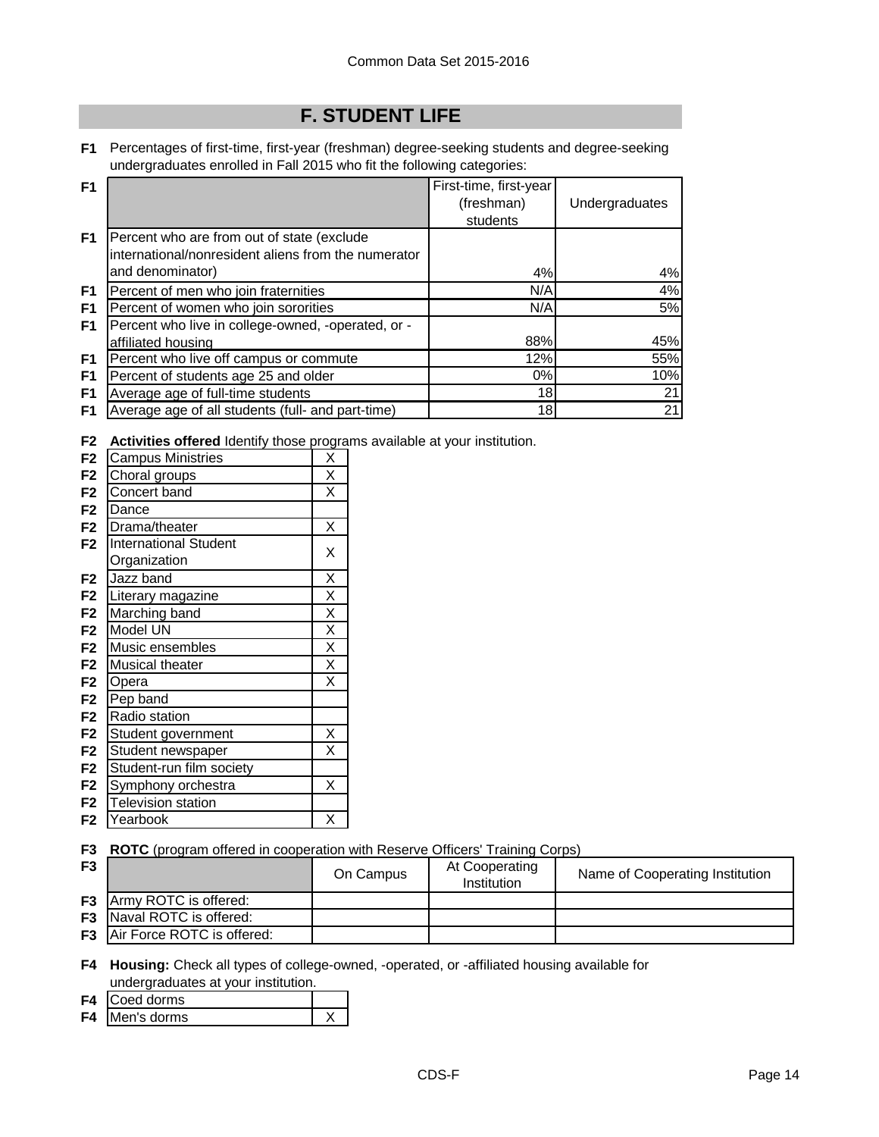# **F. STUDENT LIFE**

**F1** Percentages of first-time, first-year (freshman) degree-seeking students and degree-seeking undergraduates enrolled in Fall 2015 who fit the following categories:

| F <sub>1</sub> |                                                     | First-time, first-year |                |
|----------------|-----------------------------------------------------|------------------------|----------------|
|                |                                                     | (freshman)             | Undergraduates |
|                |                                                     | students               |                |
| F <sub>1</sub> | Percent who are from out of state (exclude          |                        |                |
|                | international/nonresident aliens from the numerator |                        |                |
|                | and denominator)                                    | 4%                     | 4%             |
| F <sub>1</sub> | Percent of men who join fraternities                | N/A                    | 4%             |
| F1             | Percent of women who join sororities                | N/A                    | 5%             |
| F <sub>1</sub> | Percent who live in college-owned, -operated, or -  |                        |                |
|                | affiliated housing                                  | 88%                    | 45%            |
| F <sub>1</sub> | Percent who live off campus or commute              | 12%                    | 55%            |
| F <sub>1</sub> | Percent of students age 25 and older                | $0\%$                  | 10%            |
| F <sub>1</sub> | Average age of full-time students                   | 18                     | 21             |
| F <sub>1</sub> | Average age of all students (full- and part-time)   | 18                     | 21             |

**F2 Activities offered** Identify those programs available at your institution.

| F <sub>2</sub> | <b>Campus Ministries</b>     | Χ |
|----------------|------------------------------|---|
| F2             | Choral groups                | X |
| F <sub>2</sub> | Concert band                 | X |
| F <sub>2</sub> | Dance                        |   |
| F <sub>2</sub> | Drama/theater                | Χ |
| F <sub>2</sub> | <b>International Student</b> | Χ |
|                | Organization                 |   |
| F <sub>2</sub> | Jazz band                    | X |
| F <sub>2</sub> | Literary magazine            | X |
| F <sub>2</sub> | Marching band                | X |
| F <sub>2</sub> | Model UN                     | X |
| F <sub>2</sub> | Music ensembles              | X |
| F <sub>2</sub> | Musical theater              | X |
| F <sub>2</sub> | Opera                        | Χ |
| F <sub>2</sub> | Pep band                     |   |
| F <sub>2</sub> | Radio station                |   |
| F <sub>2</sub> | Student government           | Χ |
| F <sub>2</sub> | Student newspaper            | X |
| F <sub>2</sub> | Student-run film society     |   |
| F <sub>2</sub> | Symphony orchestra           | Χ |
| F <sub>2</sub> | <b>Television station</b>    |   |
| F <sub>2</sub> | Yearbook                     | X |

**F3 ROTC** (program offered in cooperation with Reserve Officers' Training Corps)

| F <sub>3</sub> |                                      | On Campus | At Cooperating<br>Institution | Name of Cooperating Institution |
|----------------|--------------------------------------|-----------|-------------------------------|---------------------------------|
|                | <b>F3</b> Army ROTC is offered:      |           |                               |                                 |
|                | <b>F3</b> Naval ROTC is offered:     |           |                               |                                 |
|                | <b>F3</b> Air Force ROTC is offered: |           |                               |                                 |

**F4 Housing:** Check all types of college-owned, -operated, or -affiliated housing available for undergraduates at your institution.

- **F4** Coed dorms
- **F4** Men's dorms X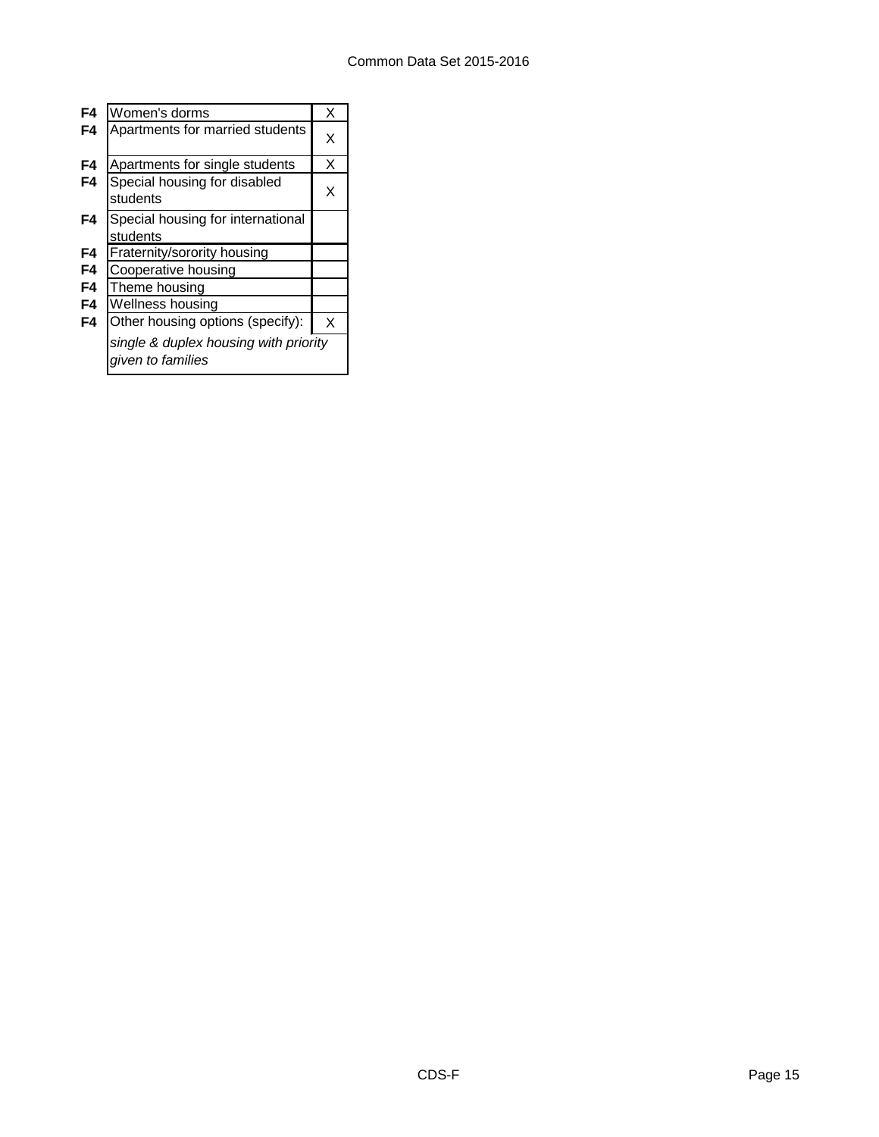| F4 | Women's dorms                                              | X |
|----|------------------------------------------------------------|---|
| F4 | Apartments for married students                            | X |
| F4 | Apartments for single students                             | х |
| F4 | Special housing for disabled<br>students                   | X |
| F4 | Special housing for international<br>students              |   |
| F4 | Fraternity/sorority housing                                |   |
| F4 | Cooperative housing                                        |   |
| F4 | Theme housing                                              |   |
| F4 | Wellness housing                                           |   |
| F4 | Other housing options (specify):                           | x |
|    | single & duplex housing with priority<br>given to families |   |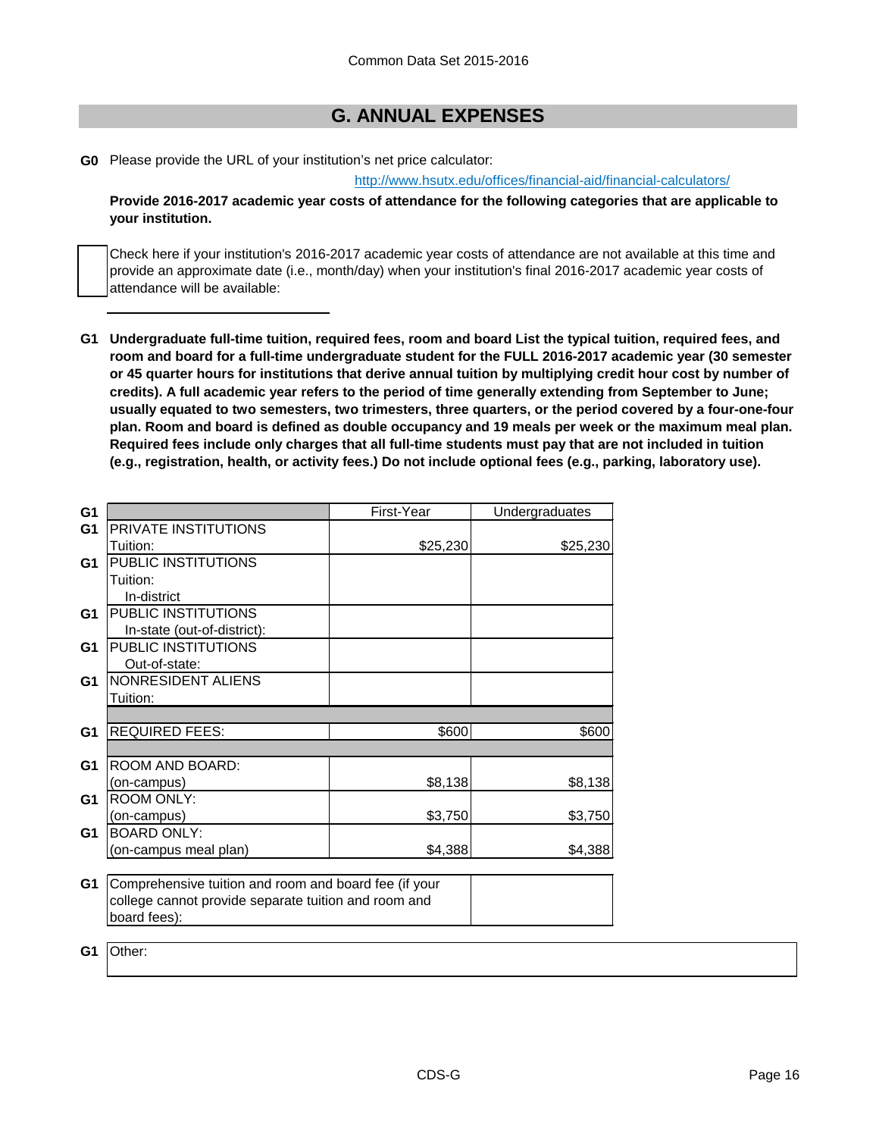# **G. ANNUAL EXPENSES**

**G0** Please provide the URL of your institution's net price calculator:

[http://www.hsutx.edu/offices/financial-aid/financial](http://www.hsutx.edu/offices/financial-aid/financial-calculators/)-calculators/

**Provide 2016-2017 academic year costs of attendance for the following categories that are applicable to your institution.**

Check here if your institution's 2016-2017 academic year costs of attendance are not available at this time and provide an approximate date (i.e., month/day) when your institution's final 2016-2017 academic year costs of attendance will be available:

**G1 Undergraduate full-time tuition, required fees, room and board List the typical tuition, required fees, and room and board for a full-time undergraduate student for the FULL 2016-2017 academic year (30 semester or 45 quarter hours for institutions that derive annual tuition by multiplying credit hour cost by number of credits). A full academic year refers to the period of time generally extending from September to June; usually equated to two semesters, two trimesters, three quarters, or the period covered by a four-one-four plan. Room and board is defined as double occupancy and 19 meals per week or the maximum meal plan. Required fees include only charges that all full-time students must pay that are not included in tuition (e.g., registration, health, or activity fees.) Do not include optional fees (e.g., parking, laboratory use).**

| G <sub>1</sub> |                                                       | First-Year | Undergraduates |
|----------------|-------------------------------------------------------|------------|----------------|
| G <sub>1</sub> | PRIVATE INSTITUTIONS                                  |            |                |
|                | Tuition:                                              | \$25,230   | \$25,230       |
| G1             | PUBLIC INSTITUTIONS                                   |            |                |
|                | Tuition:                                              |            |                |
|                | In-district                                           |            |                |
| G <sub>1</sub> | PUBLIC INSTITUTIONS                                   |            |                |
|                | In-state (out-of-district):                           |            |                |
| G <sub>1</sub> | PUBLIC INSTITUTIONS                                   |            |                |
|                | Out-of-state:                                         |            |                |
| G <sub>1</sub> | NONRESIDENT ALIENS                                    |            |                |
|                | Tuition:                                              |            |                |
|                |                                                       |            |                |
| G <sub>1</sub> | <b>REQUIRED FEES:</b>                                 | \$600      | \$600          |
|                |                                                       |            |                |
| G <sub>1</sub> | ROOM AND BOARD:                                       |            |                |
|                | (on-campus)                                           | \$8,138    | \$8,138        |
| G <sub>1</sub> | <b>ROOM ONLY:</b>                                     |            |                |
|                | (on-campus)                                           | \$3,750    | \$3,750        |
| G <sub>1</sub> | <b>BOARD ONLY:</b>                                    |            |                |
|                | (on-campus meal plan)                                 | \$4,388    | \$4,388        |
|                |                                                       |            |                |
| G1             | Comprehensive tuition and room and board fee (if your |            |                |
|                | college cannot provide separate tuition and room and  |            |                |
|                | board fees):                                          |            |                |
|                |                                                       |            |                |

**G1** Other: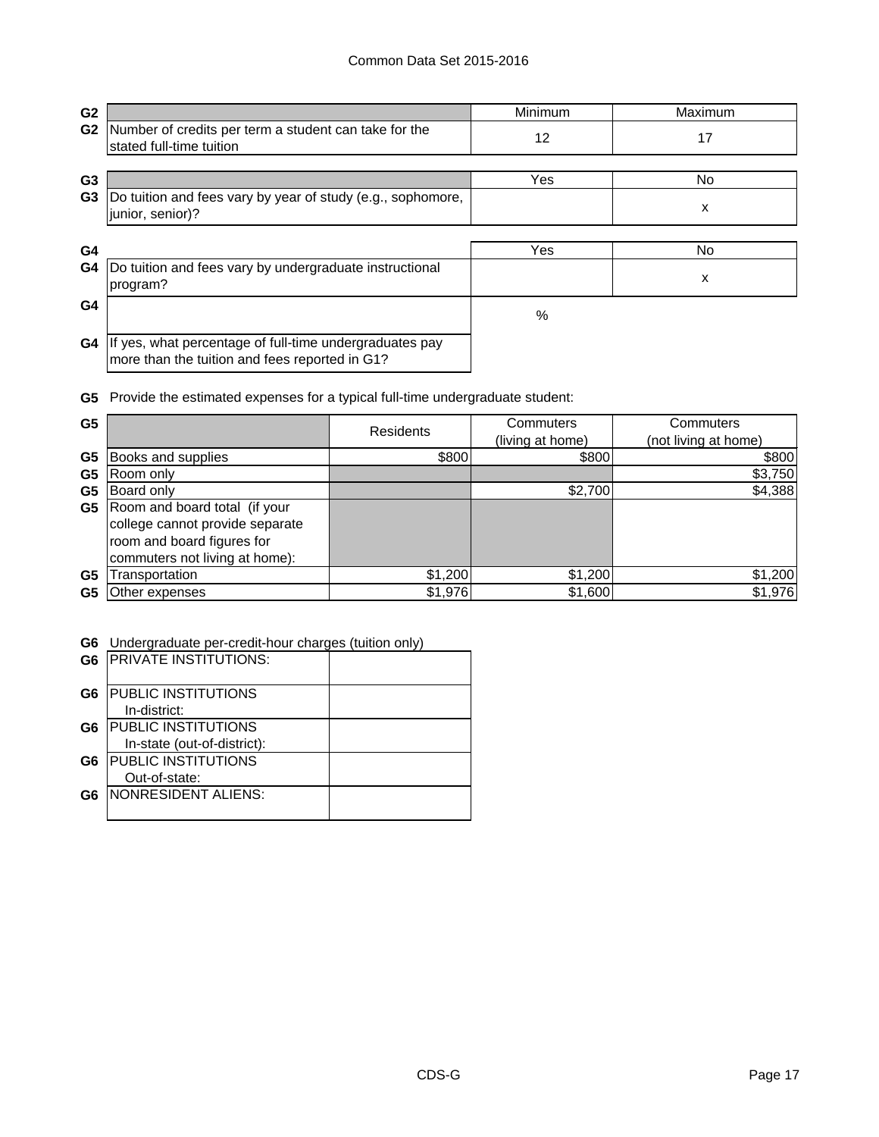| G <sub>2</sub> |                                                                                                           | Minimum | Maximum |
|----------------|-----------------------------------------------------------------------------------------------------------|---------|---------|
| G <sub>2</sub> | Number of credits per term a student can take for the<br>stated full-time tuition                         | 12      | 17      |
| G3             |                                                                                                           | Yes     | No.     |
| G <sub>3</sub> | Do tuition and fees vary by year of study (e.g., sophomore,<br>junior, senior)?                           |         | x       |
| G4             |                                                                                                           | Yes     | No.     |
| G4             | Do tuition and fees vary by undergraduate instructional<br>program?                                       |         | x       |
| G4             |                                                                                                           | %       |         |
| G4             | If yes, what percentage of full-time undergraduates pay<br>more than the tuition and fees reported in G1? |         |         |

**G5** Provide the estimated expenses for a typical full-time undergraduate student:

| G <sub>5</sub> |                                                                                                                                  | <b>Residents</b> | Commuters<br>(living at home) | Commuters<br>(not living at home) |
|----------------|----------------------------------------------------------------------------------------------------------------------------------|------------------|-------------------------------|-----------------------------------|
| G5             | Books and supplies                                                                                                               | \$800            | \$800                         | \$800                             |
| G <sub>5</sub> | Room only                                                                                                                        |                  |                               | \$3,750                           |
| G5             | <b>Board only</b>                                                                                                                |                  | \$2,700                       | \$4,388                           |
| G5             | Room and board total (if your<br>college cannot provide separate<br>room and board figures for<br>commuters not living at home): |                  |                               |                                   |
| G <sub>5</sub> | ransportation                                                                                                                    | \$1,200          | \$1,200                       | \$1,200                           |
| G5             | Other expenses                                                                                                                   | \$1,976          | \$1,600                       | \$1,976                           |

### **G6** Undergraduate per-credit-hour charges (tuition only)

| G <sub>6</sub> | <b>PRIVATE INSTITUTIONS:</b> |  |
|----------------|------------------------------|--|
| G <sub>6</sub> | <b>PUBLIC INSTITUTIONS</b>   |  |
|                | In-district:                 |  |
| G6             | <b>PUBLIC INSTITUTIONS</b>   |  |
|                | In-state (out-of-district):  |  |
| G6             | <b>PUBLIC INSTITUTIONS</b>   |  |
|                | Out-of-state:                |  |
| G6             | NONRESIDENT ALIENS:          |  |
|                |                              |  |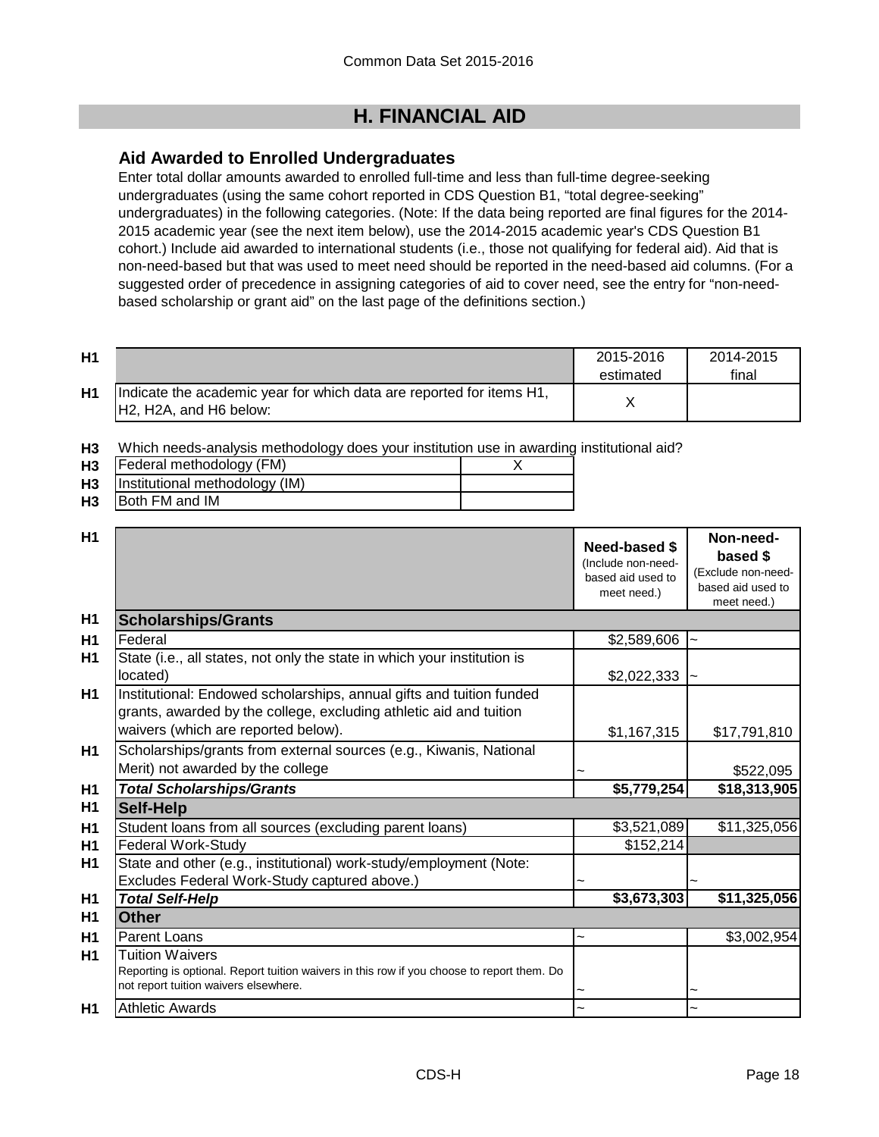# **H. FINANCIAL AID**

# **Aid Awarded to Enrolled Undergraduates**

Enter total dollar amounts awarded to enrolled full-time and less than full-time degree-seeking undergraduates (using the same cohort reported in CDS Question B1, "total degree-seeking" undergraduates) in the following categories. (Note: If the data being reported are final figures for the 2014- 2015 academic year (see the next item below), use the 2014-2015 academic year's CDS Question B1 cohort.) Include aid awarded to international students (i.e., those not qualifying for federal aid). Aid that is non-need-based but that was used to meet need should be reported in the need-based aid columns. (For a suggested order of precedence in assigning categories of aid to cover need, see the entry for "non-needbased scholarship or grant aid" on the last page of the definitions section.)

| H1             |                                                                                                 | 2015-2016<br>estimated | 2014-2015<br>final |
|----------------|-------------------------------------------------------------------------------------------------|------------------------|--------------------|
| H <sub>1</sub> | Indicate the academic year for which data are reported for items H1,<br>IH2. H2A. and H6 below: |                        |                    |

**H3** Which needs-analysis methodology does your institution use in awarding institutional aid?

| H <sub>3</sub> | Federal methodology (FM)       |  |
|----------------|--------------------------------|--|
| H <sub>3</sub> | Institutional methodology (IM) |  |
| H <sub>3</sub> | Both FM and IM                 |  |

| H1             |                                                                                                                                                                                   | Need-based \$<br>(Include non-need-<br>based aid used to<br>meet need.) | Non-need-<br>based \$<br>(Exclude non-need-<br>based aid used to<br>meet need.) |
|----------------|-----------------------------------------------------------------------------------------------------------------------------------------------------------------------------------|-------------------------------------------------------------------------|---------------------------------------------------------------------------------|
| H1             | <b>Scholarships/Grants</b>                                                                                                                                                        |                                                                         |                                                                                 |
| H1             | Federal                                                                                                                                                                           | \$2,589,606                                                             | $\tilde{}$                                                                      |
| H1             | State (i.e., all states, not only the state in which your institution is<br>located)                                                                                              | \$2,022,333                                                             |                                                                                 |
| H1             | Institutional: Endowed scholarships, annual gifts and tuition funded<br>grants, awarded by the college, excluding athletic aid and tuition<br>waivers (which are reported below). | \$1,167,315                                                             | \$17,791,810                                                                    |
| H1             | Scholarships/grants from external sources (e.g., Kiwanis, National<br>Merit) not awarded by the college                                                                           |                                                                         | \$522,095                                                                       |
| H1             | <b>Total Scholarships/Grants</b>                                                                                                                                                  | \$5,779,254                                                             | \$18,313,905                                                                    |
| H <sub>1</sub> | <b>Self-Help</b>                                                                                                                                                                  |                                                                         |                                                                                 |
| H <sub>1</sub> | Student loans from all sources (excluding parent loans)                                                                                                                           | \$3,521,089                                                             | \$11,325,056                                                                    |
| H1             | <b>Federal Work-Study</b>                                                                                                                                                         | \$152,214                                                               |                                                                                 |
| H1             | State and other (e.g., institutional) work-study/employment (Note:<br>Excludes Federal Work-Study captured above.)                                                                |                                                                         |                                                                                 |
| H <sub>1</sub> | <b>Total Self-Help</b>                                                                                                                                                            | \$3,673,303                                                             | \$11,325,056                                                                    |
| H1             | <b>Other</b>                                                                                                                                                                      |                                                                         |                                                                                 |
| H1             | <b>Parent Loans</b>                                                                                                                                                               | ∼                                                                       | \$3,002,954                                                                     |
| H1             | <b>Tuition Waivers</b><br>Reporting is optional. Report tuition waivers in this row if you choose to report them. Do<br>not report tuition waivers elsewhere.                     |                                                                         |                                                                                 |
| H1             | <b>Athletic Awards</b>                                                                                                                                                            |                                                                         | $\tilde{\phantom{a}}$                                                           |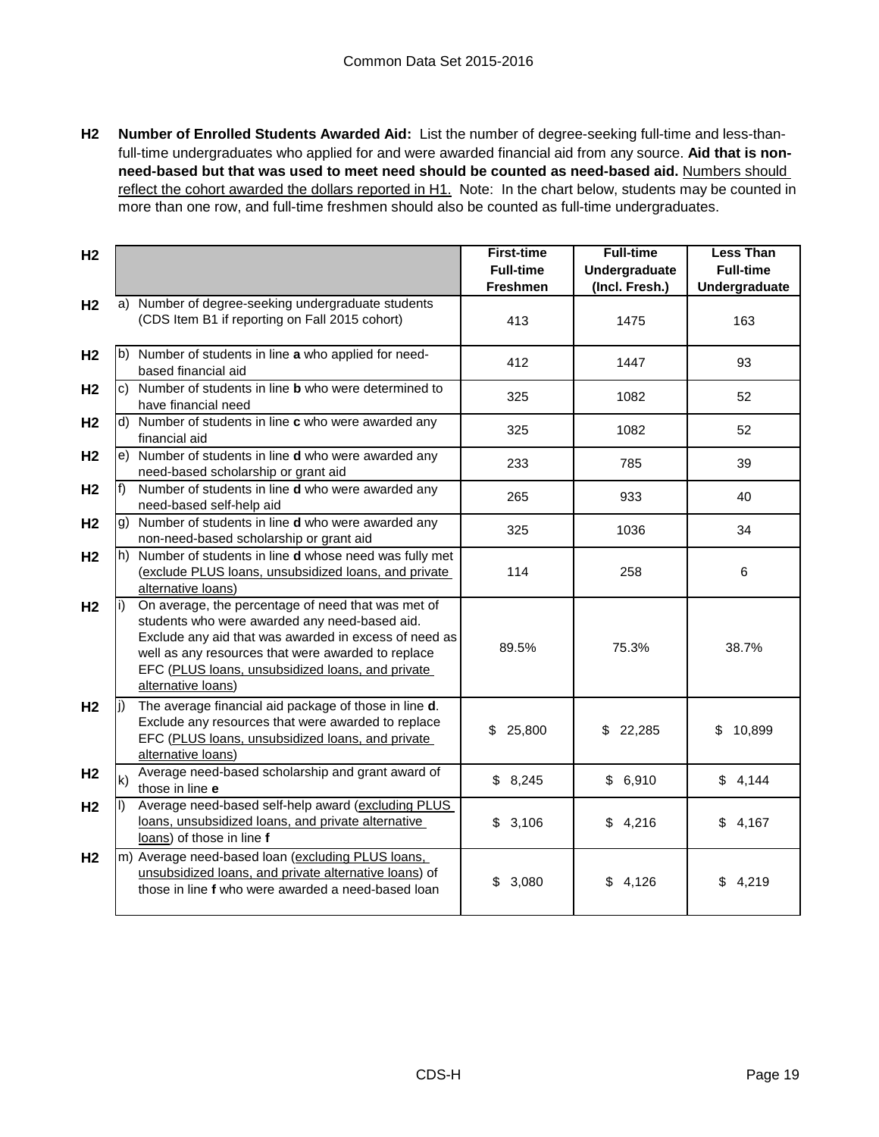**H2 Number of Enrolled Students Awarded Aid:** List the number of degree-seeking full-time and less-thanfull-time undergraduates who applied for and were awarded financial aid from any source. **Aid that is nonneed-based but that was used to meet need should be counted as need-based aid.** Numbers should reflect the cohort awarded the dollars reported in H1. Note: In the chart below, students may be counted in more than one row, and full-time freshmen should also be counted as full-time undergraduates.

| H <sub>2</sub> |     |                                                                                                                                                                                                                                                                                              | <b>First-time</b>                   | <b>Full-time</b>                | <b>Less Than</b>                  |
|----------------|-----|----------------------------------------------------------------------------------------------------------------------------------------------------------------------------------------------------------------------------------------------------------------------------------------------|-------------------------------------|---------------------------------|-----------------------------------|
|                |     |                                                                                                                                                                                                                                                                                              | <b>Full-time</b><br><b>Freshmen</b> | Undergraduate<br>(Incl. Fresh.) | <b>Full-time</b><br>Undergraduate |
| H <sub>2</sub> |     | a) Number of degree-seeking undergraduate students                                                                                                                                                                                                                                           |                                     |                                 |                                   |
|                |     | (CDS Item B1 if reporting on Fall 2015 cohort)                                                                                                                                                                                                                                               | 413                                 | 1475                            | 163                               |
| H <sub>2</sub> |     | b) Number of students in line a who applied for need-<br>based financial aid                                                                                                                                                                                                                 | 412                                 | 1447                            | 93                                |
| H <sub>2</sub> |     | c) Number of students in line <b>b</b> who were determined to<br>have financial need                                                                                                                                                                                                         | 325                                 | 1082                            | 52                                |
| H <sub>2</sub> |     | d) Number of students in line c who were awarded any<br>financial aid                                                                                                                                                                                                                        | 325                                 | 1082                            | 52                                |
| H <sub>2</sub> |     | e) Number of students in line <b>d</b> who were awarded any<br>need-based scholarship or grant aid                                                                                                                                                                                           | 233                                 | 785                             | 39                                |
| H <sub>2</sub> |     | Number of students in line d who were awarded any<br>need-based self-help aid                                                                                                                                                                                                                | 265                                 | 933                             | 40                                |
| H <sub>2</sub> |     | g) Number of students in line d who were awarded any<br>non-need-based scholarship or grant aid                                                                                                                                                                                              | 325                                 | 1036                            | 34                                |
| H <sub>2</sub> |     | h) Number of students in line <b>d</b> whose need was fully met<br>(exclude PLUS loans, unsubsidized loans, and private<br>alternative loans)                                                                                                                                                | 114                                 | 258                             | 6                                 |
| H <sub>2</sub> |     | On average, the percentage of need that was met of<br>students who were awarded any need-based aid.<br>Exclude any aid that was awarded in excess of need as<br>well as any resources that were awarded to replace<br>EFC (PLUS loans, unsubsidized loans, and private<br>alternative loans) | 89.5%                               | 75.3%                           | 38.7%                             |
| H <sub>2</sub> | li) | The average financial aid package of those in line d.<br>Exclude any resources that were awarded to replace<br>EFC (PLUS loans, unsubsidized loans, and private<br>alternative loans)                                                                                                        | \$25,800                            | \$22,285                        | 10,899<br>\$                      |
| H <sub>2</sub> | k)  | Average need-based scholarship and grant award of<br>those in line e                                                                                                                                                                                                                         | \$8,245                             | \$6,910                         | \$4,144                           |
| H <sub>2</sub> |     | Average need-based self-help award (excluding PLUS<br>loans, unsubsidized loans, and private alternative<br>loans) of those in line f                                                                                                                                                        | \$<br>3,106                         | \$4,216                         | \$<br>4,167                       |
| H <sub>2</sub> |     | m) Average need-based loan (excluding PLUS loans,<br>unsubsidized loans, and private alternative loans) of<br>those in line f who were awarded a need-based loan                                                                                                                             | \$<br>3,080                         | \$4,126                         | \$4,219                           |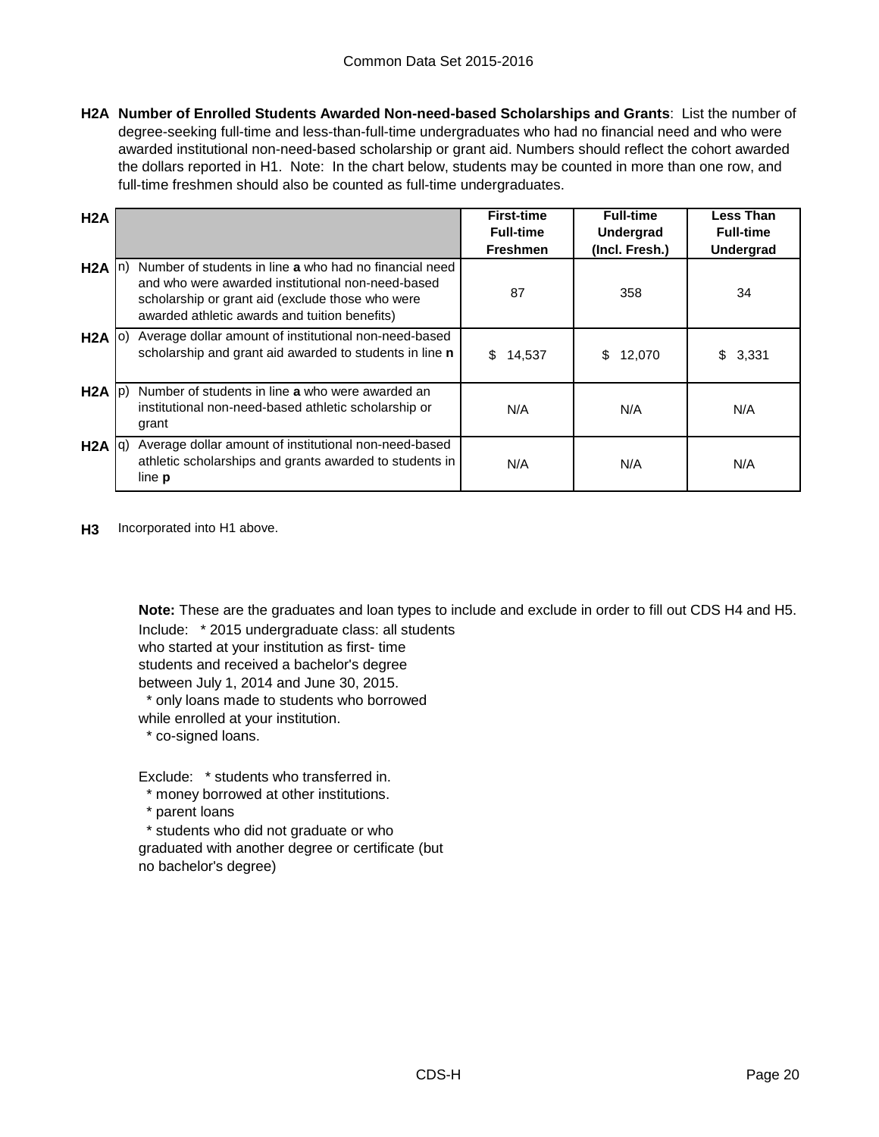**H2A Number of Enrolled Students Awarded Non-need-based Scholarships and Grants**: List the number of degree-seeking full-time and less-than-full-time undergraduates who had no financial need and who were awarded institutional non-need-based scholarship or grant aid. Numbers should reflect the cohort awarded the dollars reported in H1. Note: In the chart below, students may be counted in more than one row, and full-time freshmen should also be counted as full-time undergraduates.

| H2A               |                                                                                                                                                                                                                  | <b>First-time</b><br><b>Full-time</b><br><b>Freshmen</b> | <b>Full-time</b><br>Undergrad<br>(Incl. Fresh.) | <b>Less Than</b><br><b>Full-time</b><br>Undergrad |
|-------------------|------------------------------------------------------------------------------------------------------------------------------------------------------------------------------------------------------------------|----------------------------------------------------------|-------------------------------------------------|---------------------------------------------------|
| $H2A$ In)         | Number of students in line a who had no financial need<br>and who were awarded institutional non-need-based<br>scholarship or grant aid (exclude those who were<br>awarded athletic awards and tuition benefits) | 87                                                       | 358                                             | 34                                                |
| $H2A$ (0)         | Average dollar amount of institutional non-need-based<br>scholarship and grant aid awarded to students in line n                                                                                                 | \$<br>14,537                                             | 12,070<br>S                                     | 3,331                                             |
| $H2A$ $ p\rangle$ | Number of students in line a who were awarded an<br>institutional non-need-based athletic scholarship or<br>grant                                                                                                | N/A                                                      | N/A                                             | N/A                                               |
| $H2A$ $ q\rangle$ | Average dollar amount of institutional non-need-based<br>athletic scholarships and grants awarded to students in<br>line <b>p</b>                                                                                | N/A                                                      | N/A                                             | N/A                                               |

**H3** Incorporated into H1 above.

Include: \* 2015 undergraduate class: all students **Note:** These are the graduates and loan types to include and exclude in order to fill out CDS H4 and H5.

who started at your institution as first- time students and received a bachelor's degree

between July 1, 2014 and June 30, 2015.

\* only loans made to students who borrowed

while enrolled at your institution.

\* co-signed loans.

Exclude: \* students who transferred in.

\* money borrowed at other institutions.

\* parent loans

 \* students who did not graduate or who graduated with another degree or certificate (but no bachelor's degree)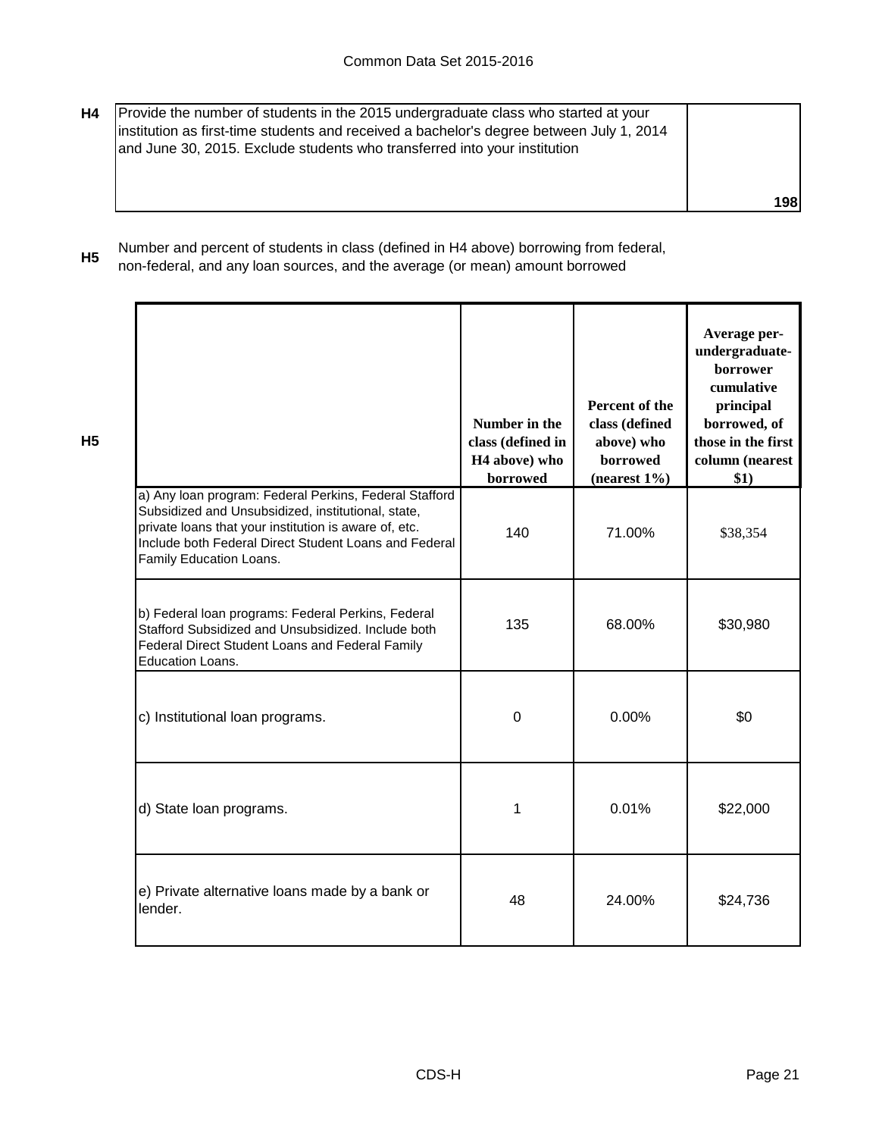| H4 | Provide the number of students in the 2015 undergraduate class who started at your<br>institution as first-time students and received a bachelor's degree between July 1, 2014<br>and June 30, 2015. Exclude students who transferred into your institution |            |
|----|-------------------------------------------------------------------------------------------------------------------------------------------------------------------------------------------------------------------------------------------------------------|------------|
|    |                                                                                                                                                                                                                                                             | <b>198</b> |

**H5** Number and percent of students in class (defined in H4 above) borrowing from federal, non-federal, and any loan sources, and the average (or mean) amount borrowed

|                                                                                                                                                                                                                                                           | Number in the<br>class (defined in<br>H <sub>4</sub> above) who<br>borrowed | Percent of the<br>class (defined<br>above) who<br>borrowed<br>$(nearest 1\%)$ | Average per-<br>undergraduate-<br>borrower<br>cumulative<br>principal<br>borrowed, of<br>those in the first<br>column (nearest<br>\$1) |
|-----------------------------------------------------------------------------------------------------------------------------------------------------------------------------------------------------------------------------------------------------------|-----------------------------------------------------------------------------|-------------------------------------------------------------------------------|----------------------------------------------------------------------------------------------------------------------------------------|
| a) Any loan program: Federal Perkins, Federal Stafford<br>Subsidized and Unsubsidized, institutional, state,<br>private loans that your institution is aware of, etc.<br>Include both Federal Direct Student Loans and Federal<br>Family Education Loans. | 140                                                                         | 71.00%                                                                        | \$38,354                                                                                                                               |
| b) Federal loan programs: Federal Perkins, Federal<br>Stafford Subsidized and Unsubsidized. Include both<br>Federal Direct Student Loans and Federal Family<br>Education Loans.                                                                           | 135                                                                         | 68.00%                                                                        | \$30,980                                                                                                                               |
| c) Institutional loan programs.                                                                                                                                                                                                                           | $\overline{0}$                                                              | 0.00%                                                                         | \$0                                                                                                                                    |
| d) State loan programs.                                                                                                                                                                                                                                   | 1                                                                           | 0.01%                                                                         | \$22,000                                                                                                                               |
| e) Private alternative loans made by a bank or<br>lender.                                                                                                                                                                                                 | 48                                                                          | 24.00%                                                                        | \$24,736                                                                                                                               |

**H5**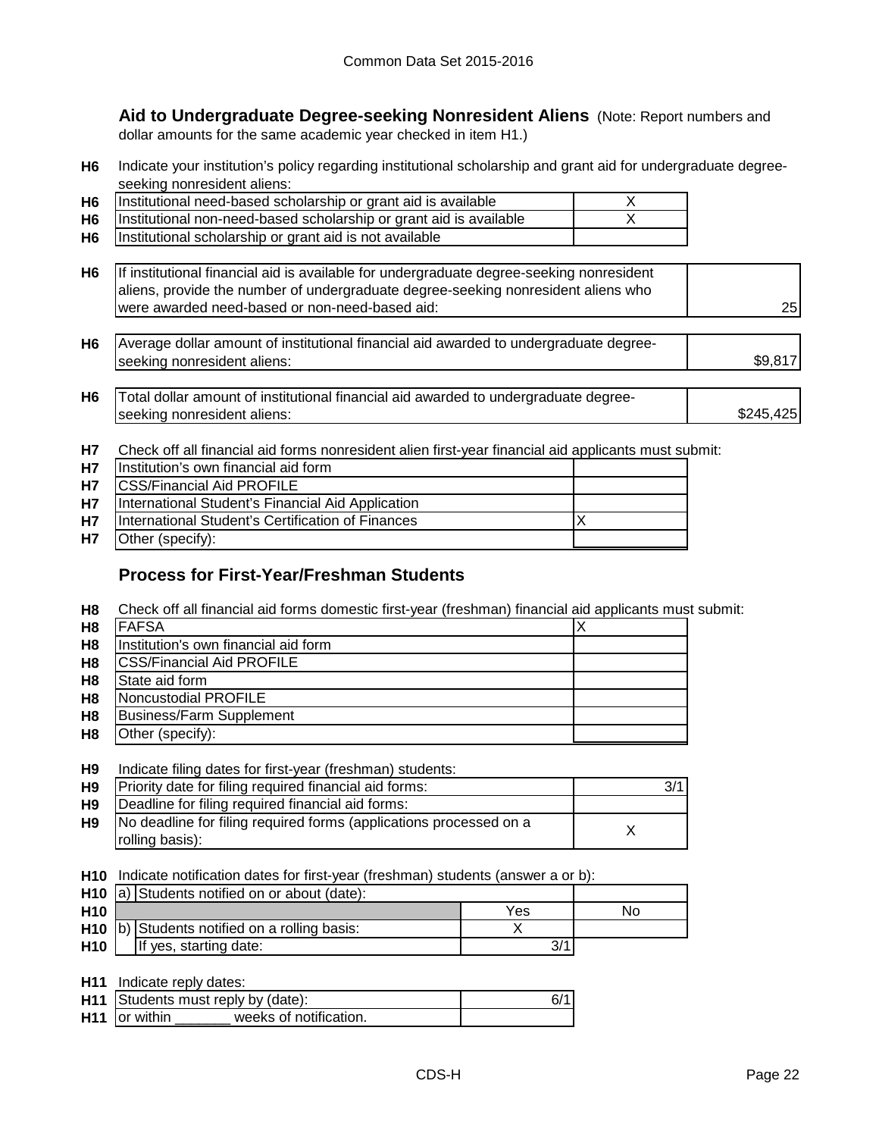**Aid to Undergraduate Degree-seeking Nonresident Aliens** (Note: Report numbers and dollar amounts for the same academic year checked in item H1.)

**H6** Indicate your institution's policy regarding institutional scholarship and grant aid for undergraduate degreeseeking nonresident aliens:

| H <sub>6</sub> | Institutional need-based scholarship or grant aid is available     |  |
|----------------|--------------------------------------------------------------------|--|
| H6             | Institutional non-need-based scholarship or grant aid is available |  |
| H <sub>6</sub> | Institutional scholarship or grant aid is not available            |  |

| H6 If institutional financial aid is available for undergraduate degree-seeking nonresident<br>aliens, provide the number of undergraduate degree-seeking nonresident aliens who |    |
|----------------------------------------------------------------------------------------------------------------------------------------------------------------------------------|----|
| were awarded need-based or non-need-based aid:                                                                                                                                   | 25 |

| H6 | Average dollar amount of institutional financial aid awarded to undergraduate degree- |     |
|----|---------------------------------------------------------------------------------------|-----|
|    | Iseeking nonresident aliens:                                                          | \$9 |
|    |                                                                                       |     |

| H <sub>6</sub> | Total dollar amount of institutional financial aid awarded to undergraduate degree- |           |
|----------------|-------------------------------------------------------------------------------------|-----------|
|                | Iseeking nonresident aliens:                                                        | \$245,425 |

**H7** Check off all financial aid forms nonresident alien first-year financial aid applicants must submit:

| <b>H7</b> | Institution's own financial aid form              |  |
|-----------|---------------------------------------------------|--|
| <b>H7</b> | <b>CSS/Financial Aid PROFILE</b>                  |  |
| <b>H7</b> | International Student's Financial Aid Application |  |
| <b>H7</b> | International Student's Certification of Finances |  |
| <b>H7</b> | Other (specify):                                  |  |

# **Process for First-Year/Freshman Students**

**H8** Check off all financial aid forms domestic first-year (freshman) financial aid applicants must submit:

| H <sub>8</sub> | <b>FAFSA</b>                         |  |
|----------------|--------------------------------------|--|
| H <sub>8</sub> | Institution's own financial aid form |  |
| H <sub>8</sub> | <b>CSS/Financial Aid PROFILE</b>     |  |
| H <sub>8</sub> | State aid form                       |  |
| H <sub>8</sub> | Noncustodial PROFILE                 |  |
| H <sub>8</sub> | <b>Business/Farm Supplement</b>      |  |
| H <sub>8</sub> | Other (specify):                     |  |

#### **H9** Indicate filing dates for first-year (freshman) students:

| H9             | Priority date for filing required financial aid forms:             | 3/1 |
|----------------|--------------------------------------------------------------------|-----|
| H <sub>9</sub> | Deadline for filing required financial aid forms:                  |     |
| H <sub>9</sub> | No deadline for filing required forms (applications processed on a |     |
|                | rolling basis):                                                    |     |

**H10** Indicate notification dates for first-year (freshman) students (answer a or b):

|                 | <b>H10</b> $ a $ Students notified on or about (date):      |     |    |
|-----------------|-------------------------------------------------------------|-----|----|
| H <sub>10</sub> |                                                             | Yes | No |
|                 | <b>H10</b> $\vert$ b) Students notified on a rolling basis: |     |    |
| <b>H10</b>      | If yes, starting date:                                      |     |    |

**H11** Indicate reply dates:

| H11 Students must reply by (date):             | 6/1 |
|------------------------------------------------|-----|
|                                                |     |
| <b>H11</b> or within<br>weeks of notification. |     |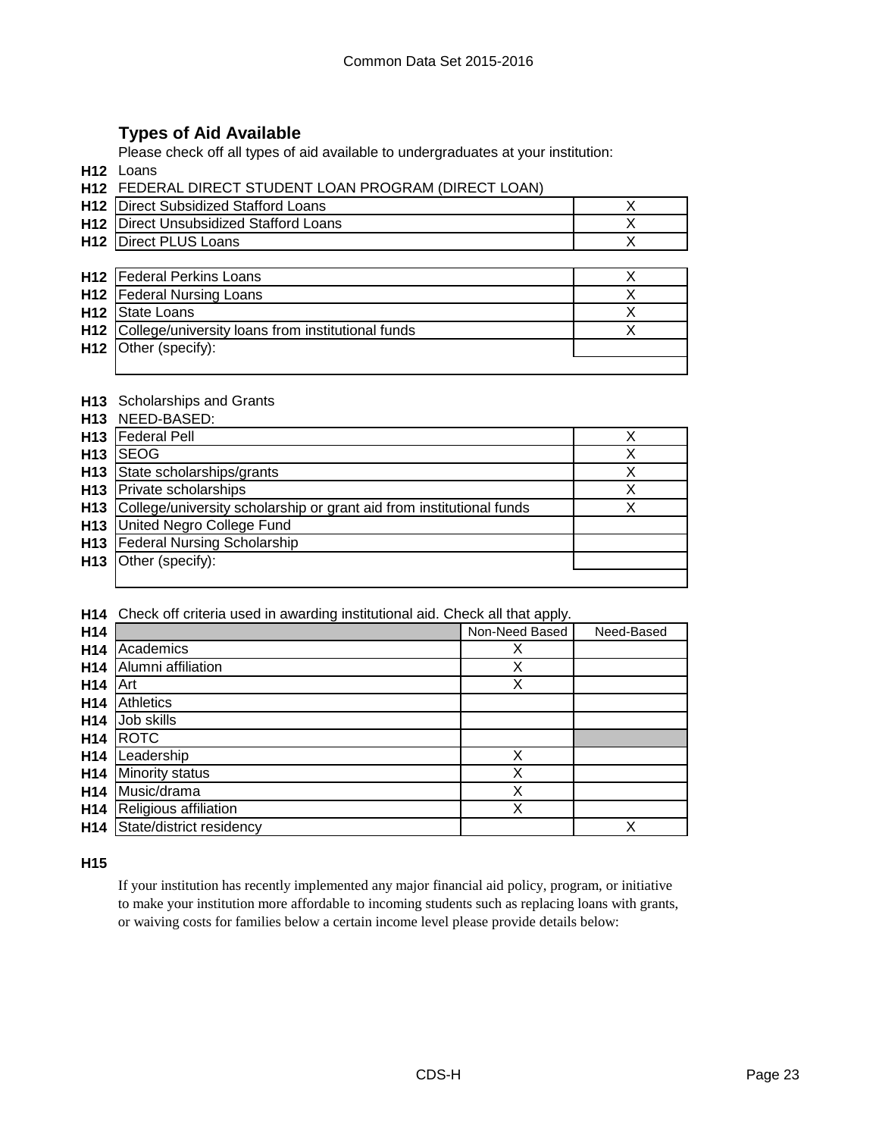# **Types of Aid Available**

Please check off all types of aid available to undergraduates at your institution:

**H12** Loans

| <b>H12 FEDERAL DIRECT STUDENT LOAN PROGRAM (DIRECT LOAN)</b> |
|--------------------------------------------------------------|
|--------------------------------------------------------------|

| <b>H12</b> Direct Subsidized Stafford Loans   |  |
|-----------------------------------------------|--|
| <b>H12</b> Direct Unsubsidized Stafford Loans |  |
| <b>H12 Direct PLUS Loans</b>                  |  |

| <b>H12</b> Federal Perkins Loans                      |  |
|-------------------------------------------------------|--|
| <b>H12</b> Federal Nursing Loans                      |  |
| H <sub>12</sub> State Loans                           |  |
| H12 College/university loans from institutional funds |  |
| $H12$ Other (specify):                                |  |
|                                                       |  |

#### **H13** Scholarships and Grants

|                 | <b>HIS</b> Sulplaiships and Grants                                   |   |
|-----------------|----------------------------------------------------------------------|---|
| H <sub>13</sub> | NEED-BASED:                                                          |   |
| H <sub>13</sub> | <b>Federal Pell</b>                                                  |   |
| H <sub>13</sub> | <b>ISEOG</b>                                                         |   |
| H13             | State scholarships/grants                                            | Χ |
| H13             | Private scholarships                                                 | х |
| H <sub>13</sub> | College/university scholarship or grant aid from institutional funds |   |
| H13             | United Negro College Fund                                            |   |
|                 | H13   Federal Nursing Scholarship                                    |   |
| H <sub>13</sub> | Other (specify):                                                     |   |
|                 |                                                                      |   |

**H14** Check off criteria used in awarding institutional aid. Check all that apply.

| H14             |                          | Non-Need Based | Need-Based |
|-----------------|--------------------------|----------------|------------|
| H <sub>14</sub> | Academics                | Х              |            |
| H <sub>14</sub> | Alumni affiliation       | X              |            |
| H <sub>14</sub> | Art                      | X              |            |
| H <sub>14</sub> | <b>Athletics</b>         |                |            |
| H <sub>14</sub> | Job skills               |                |            |
| H <sub>14</sub> | <b>ROTC</b>              |                |            |
| H <sub>14</sub> | Leadership               | Χ              |            |
| H <sub>14</sub> | Minority status          | Χ              |            |
| H <sub>14</sub> | Music/drama              | Χ              |            |
| H <sub>14</sub> | Religious affiliation    | Χ              |            |
| H <sub>14</sub> | State/district residency |                | Χ          |

#### **H15**

If your institution has recently implemented any major financial aid policy, program, or initiative to make your institution more affordable to incoming students such as replacing loans with grants, or waiving costs for families below a certain income level please provide details below: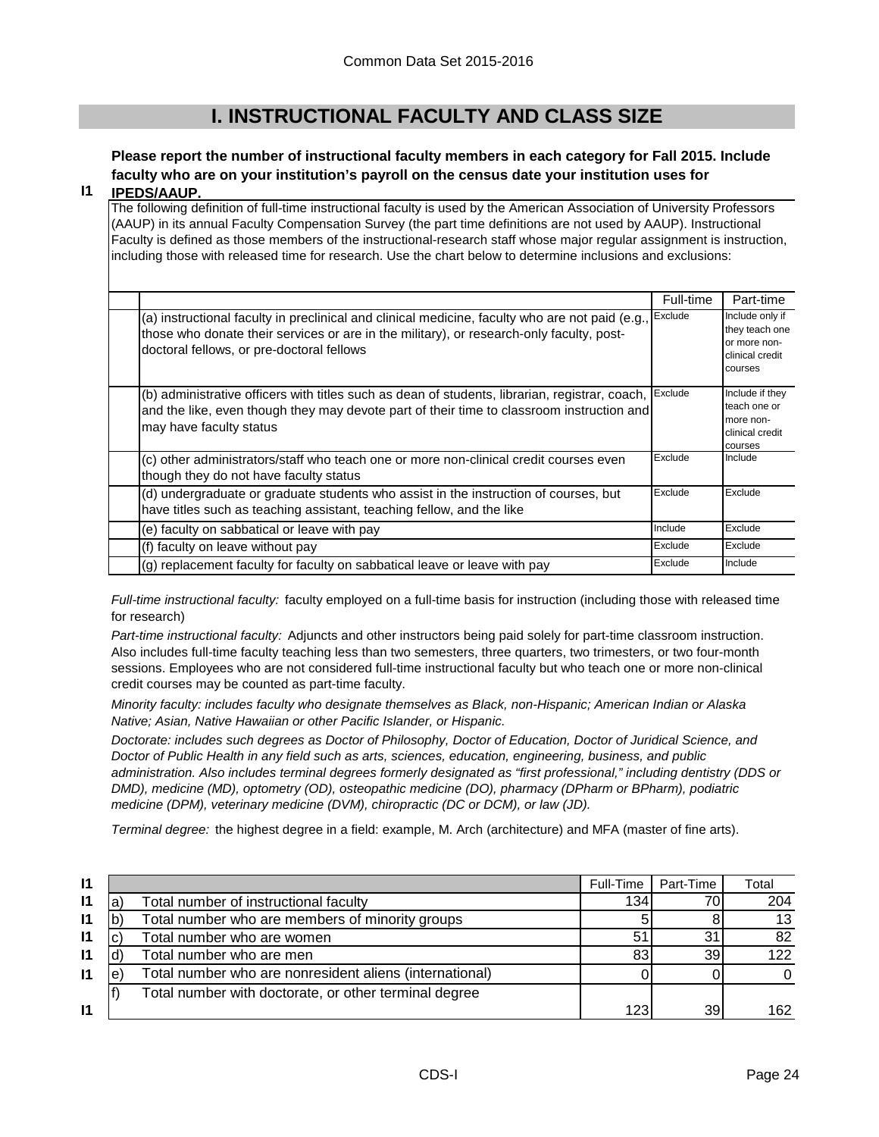# **I. INSTRUCTIONAL FACULTY AND CLASS SIZE**

# **Please report the number of instructional faculty members in each category for Fall 2015. Include faculty who are on your institution's payroll on the census date your institution uses for**

#### **I1 IPEDS/AAUP.**

The following definition of full-time instructional faculty is used by the American Association of University Professors (AAUP) in its annual Faculty Compensation Survey (the part time definitions are not used by AAUP). Instructional Faculty is defined as those members of the instructional-research staff whose major regular assignment is instruction, including those with released time for research. Use the chart below to determine inclusions and exclusions:

|                                                                                                                                                                                                                                                  | Full-time | Part-time                                                                       |
|--------------------------------------------------------------------------------------------------------------------------------------------------------------------------------------------------------------------------------------------------|-----------|---------------------------------------------------------------------------------|
| (a) instructional faculty in preclinical and clinical medicine, faculty who are not paid (e.g., Exclude<br>those who donate their services or are in the military), or research-only faculty, post-<br>doctoral fellows, or pre-doctoral fellows |           | Include only if<br>they teach one<br>or more non-<br>clinical credit<br>courses |
| (b) administrative officers with titles such as dean of students, librarian, registrar, coach,<br>and the like, even though they may devote part of their time to classroom instruction and<br>may have faculty status                           | Exclude   | Include if they<br>teach one or<br>more non-<br>clinical credit<br>courses      |
| (c) other administrators/staff who teach one or more non-clinical credit courses even<br>though they do not have faculty status                                                                                                                  | Exclude   | Include                                                                         |
| (d) undergraduate or graduate students who assist in the instruction of courses, but<br>have titles such as teaching assistant, teaching fellow, and the like                                                                                    | Exclude   | Exclude                                                                         |
| (e) faculty on sabbatical or leave with pay                                                                                                                                                                                                      | Include   | Exclude                                                                         |
| (f) faculty on leave without pay                                                                                                                                                                                                                 | Exclude   | Exclude                                                                         |
| (g) replacement faculty for faculty on sabbatical leave or leave with pay                                                                                                                                                                        | Exclude   | Include                                                                         |

*Full-time instructional faculty:* faculty employed on a full-time basis for instruction (including those with released time for research)

*Part-time instructional faculty:* Adjuncts and other instructors being paid solely for part-time classroom instruction. Also includes full-time faculty teaching less than two semesters, three quarters, two trimesters, or two four-month sessions. Employees who are not considered full-time instructional faculty but who teach one or more non-clinical credit courses may be counted as part-time faculty.

*Minority faculty: includes faculty who designate themselves as Black, non-Hispanic; American Indian or Alaska Native; Asian, Native Hawaiian or other Pacific Islander, or Hispanic.* 

*Doctorate: includes such degrees as Doctor of Philosophy, Doctor of Education, Doctor of Juridical Science, and Doctor of Public Health in any field such as arts, sciences, education, engineering, business, and public administration. Also includes terminal degrees formerly designated as "first professional," including dentistry (DDS or DMD), medicine (MD), optometry (OD), osteopathic medicine (DO), pharmacy (DPharm or BPharm), podiatric medicine (DPM), veterinary medicine (DVM), chiropractic (DC or DCM), or law (JD).*

*Terminal degree:* the highest degree in a field: example, M. Arch (architecture) and MFA (master of fine arts).

| $\mathsf{I}$ |   |                                                         | Full-Time | Part-Time | Total |
|--------------|---|---------------------------------------------------------|-----------|-----------|-------|
| $\mathsf{I}$ | a | Total number of instructional faculty                   | 134       | 70.       | 204   |
| $\mathbf{I}$ |   | Total number who are members of minority groups         |           |           | 13    |
| $\mathsf{I}$ |   | Total number who are women                              | 51        | 31        | 82    |
| 11           |   | Total number who are men                                | 83        | 39        | 122   |
| $\mathsf{I}$ | e | Total number who are nonresident aliens (international) |           |           |       |
|              |   | Total number with doctorate, or other terminal degree   |           |           |       |
| <u>11</u>    |   |                                                         | 123       | 39        | 162   |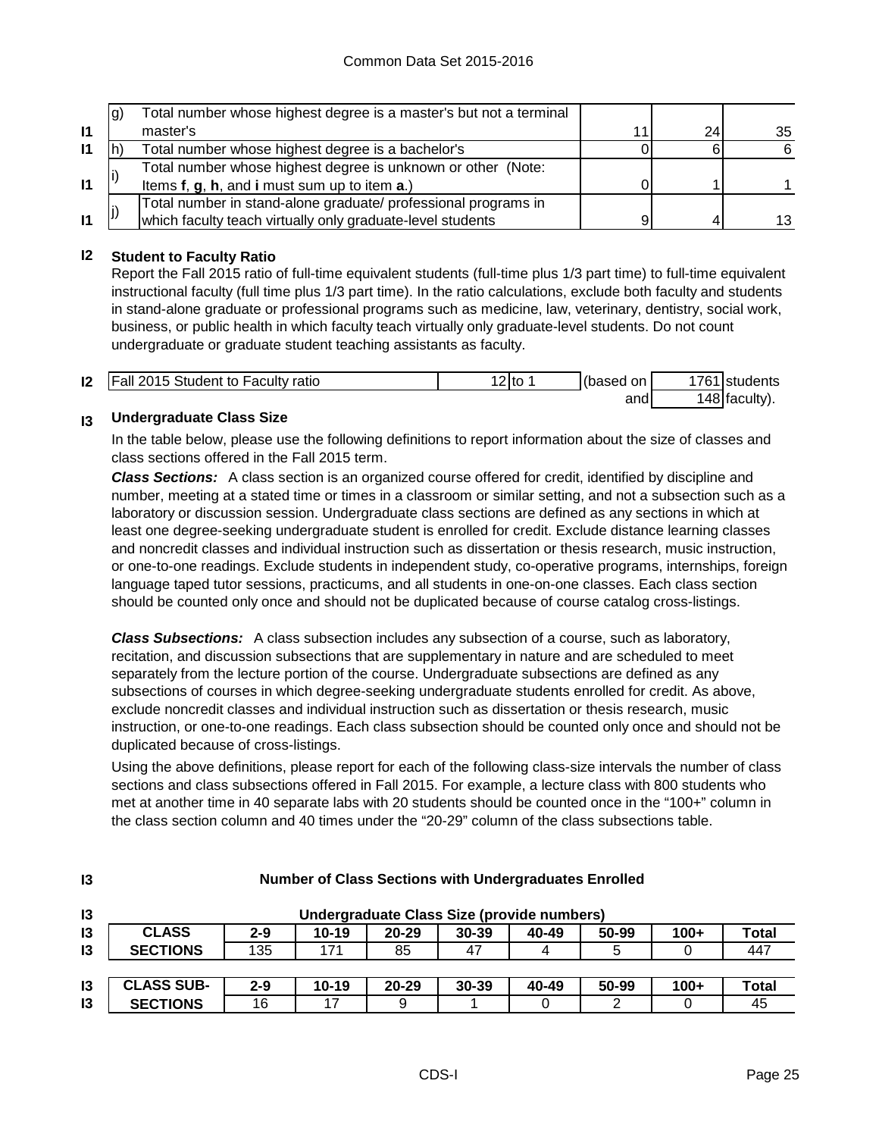|              | (g) | Total number whose highest degree is a master's but not a terminal |    |     |
|--------------|-----|--------------------------------------------------------------------|----|-----|
| $\mathbf{I}$ |     | master's                                                           | 24 | 35  |
| $\mathbf{I}$ |     | Total number whose highest degree is a bachelor's                  |    | 6   |
|              |     | Total number whose highest degree is unknown or other (Note:       |    |     |
| $\mathbf{I}$ |     | Items f, g, h, and i must sum up to item a.)                       |    |     |
|              |     | Total number in stand-alone graduate/ professional programs in     |    |     |
| $\mathbf{I}$ |     | which faculty teach virtually only graduate-level students         |    | 13. |

#### **I2 Student to Faculty Ratio**

Report the Fall 2015 ratio of full-time equivalent students (full-time plus 1/3 part time) to full-time equivalent instructional faculty (full time plus 1/3 part time). In the ratio calculations, exclude both faculty and students in stand-alone graduate or professional programs such as medicine, law, veterinary, dentistry, social work, business, or public health in which faculty teach virtually only graduate-level students. Do not count undergraduate or graduate student teaching assistants as faculty.

| $\mathsf{I2}$ | <b>Fall 2015 Student to Faculty ratio</b> | '2Ito | (based on | 1761 students |
|---------------|-------------------------------------------|-------|-----------|---------------|
|               |                                           |       | and       | 148 faculty). |

#### **I3 Undergraduate Class Size**

**I3**

In the table below, please use the following definitions to report information about the size of classes and class sections offered in the Fall 2015 term.

*Class Sections:* A class section is an organized course offered for credit, identified by discipline and number, meeting at a stated time or times in a classroom or similar setting, and not a subsection such as a laboratory or discussion session. Undergraduate class sections are defined as any sections in which at least one degree-seeking undergraduate student is enrolled for credit. Exclude distance learning classes and noncredit classes and individual instruction such as dissertation or thesis research, music instruction, or one-to-one readings. Exclude students in independent study, co-operative programs, internships, foreign language taped tutor sessions, practicums, and all students in one-on-one classes. Each class section should be counted only once and should not be duplicated because of course catalog cross-listings.

*Class Subsections:* A class subsection includes any subsection of a course, such as laboratory, recitation, and discussion subsections that are supplementary in nature and are scheduled to meet separately from the lecture portion of the course. Undergraduate subsections are defined as any subsections of courses in which degree-seeking undergraduate students enrolled for credit. As above, exclude noncredit classes and individual instruction such as dissertation or thesis research, music instruction, or one-to-one readings. Each class subsection should be counted only once and should not be duplicated because of cross-listings.

Using the above definitions, please report for each of the following class-size intervals the number of class sections and class subsections offered in Fall 2015. For example, a lecture class with 800 students who met at another time in 40 separate labs with 20 students should be counted once in the "100+" column in the class section column and 40 times under the "20-29" column of the class subsections table.

| $\mathsf{I}3$  |                   | Undergraduate Class Size (provide numbers) |           |           |           |       |       |        |              |
|----------------|-------------------|--------------------------------------------|-----------|-----------|-----------|-------|-------|--------|--------------|
| 13             | <b>CLASS</b>      | $2 - 9$                                    | $10 - 19$ | $20 - 29$ | $30 - 39$ | 40-49 | 50-99 | $100+$ | <b>Total</b> |
| 13             | <b>SECTIONS</b>   | 135                                        | 171       | 85        | 47        | 4     | 5     |        | 447          |
|                |                   |                                            |           |           |           |       |       |        |              |
| $\overline{3}$ | <b>CLASS SUB-</b> | $2 - 9$                                    | $10 - 19$ | $20 - 29$ | $30 - 39$ | 40-49 | 50-99 | $100+$ | <b>Total</b> |
| $\mathsf{I}3$  | <b>SECTIONS</b>   | 16                                         | 17        | 9         |           |       |       |        | 45           |

#### **Number of Class Sections with Undergraduates Enrolled**